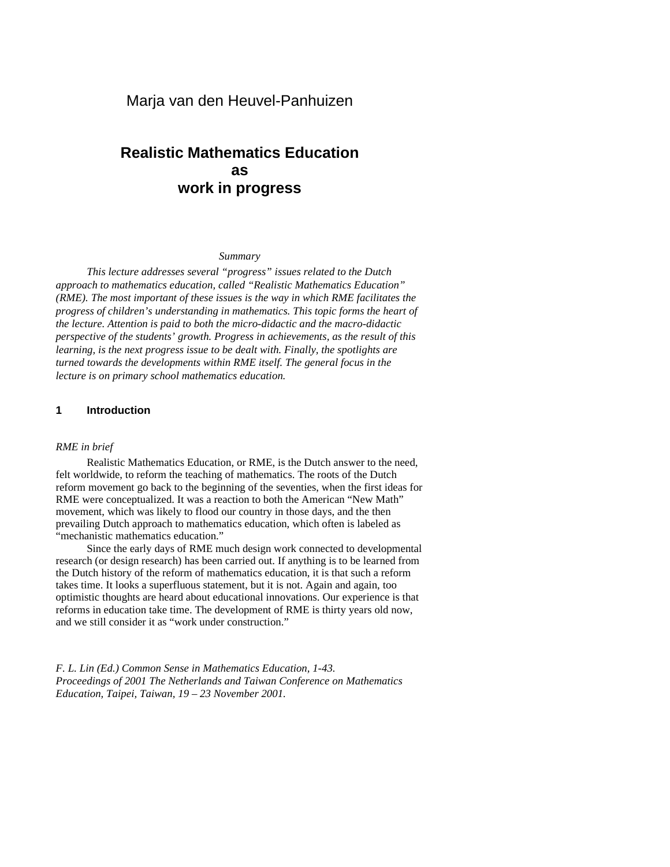# **Realistic Mathematics Education as work in progress**

#### *Summary*

*This lecture addresses several "progress" issues related to the Dutch approach to mathematics education, called "Realistic Mathematics Education" (RME). The most important of these issues is the way in which RME facilitates the progress of children's understanding in mathematics. This topic forms the heart of the lecture. Attention is paid to both the micro-didactic and the macro-didactic perspective of the students' growth. Progress in achievements, as the result of this learning, is the next progress issue to be dealt with. Finally, the spotlights are turned towards the developments within RME itself. The general focus in the lecture is on primary school mathematics education.*

# **1 Introduction**

#### *RME in brief*

Realistic Mathematics Education, or RME, is the Dutch answer to the need, felt worldwide, to reform the teaching of mathematics. The roots of the Dutch reform movement go back to the beginning of the seventies, when the first ideas for RME were conceptualized. It was a reaction to both the American "New Math" movement, which was likely to flood our country in those days, and the then prevailing Dutch approach to mathematics education, which often is labeled as "mechanistic mathematics education."

Since the early days of RME much design work connected to developmental research (or design research) has been carried out. If anything is to be learned from the Dutch history of the reform of mathematics education, it is that such a reform takes time. It looks a superfluous statement, but it is not. Again and again, too optimistic thoughts are heard about educational innovations. Our experience is that reforms in education take time. The development of RME is thirty years old now, and we still consider it as "work under construction."

*F. L. Lin (Ed.) Common Sense in Mathematics Education, 1-43. Proceedings of 2001 The Netherlands and Taiwan Conference on Mathematics Education, Taipei, Taiwan, 19 – 23 November 2001.*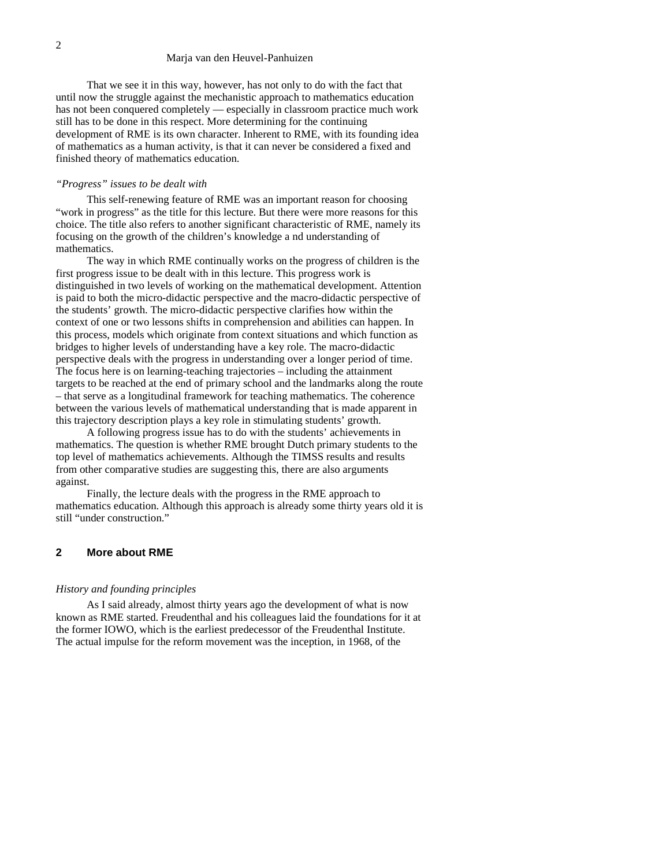That we see it in this way, however, has not only to do with the fact that until now the struggle against the mechanistic approach to mathematics education has not been conquered completely — especially in classroom practice much work still has to be done in this respect. More determining for the continuing development of RME is its own character. Inherent to RME, with its founding idea of mathematics as a human activity, is that it can never be considered a fixed and finished theory of mathematics education.

#### *"Progress" issues to be dealt with*

This self-renewing feature of RME was an important reason for choosing "work in progress" as the title for this lecture. But there were more reasons for this choice. The title also refers to another significant characteristic of RME, namely its focusing on the growth of the children's knowledge a nd understanding of mathematics.

The way in which RME continually works on the progress of children is the first progress issue to be dealt with in this lecture. This progress work is distinguished in two levels of working on the mathematical development. Attention is paid to both the micro-didactic perspective and the macro-didactic perspective of the students' growth. The micro-didactic perspective clarifies how within the context of one or two lessons shifts in comprehension and abilities can happen. In this process, models which originate from context situations and which function as bridges to higher levels of understanding have a key role. The macro-didactic perspective deals with the progress in understanding over a longer period of time. The focus here is on learning-teaching trajectories – including the attainment targets to be reached at the end of primary school and the landmarks along the route – that serve as a longitudinal framework for teaching mathematics. The coherence between the various levels of mathematical understanding that is made apparent in this trajectory description plays a key role in stimulating students' growth.

A following progress issue has to do with the students' achievements in mathematics. The question is whether RME brought Dutch primary students to the top level of mathematics achievements. Although the TIMSS results and results from other comparative studies are suggesting this, there are also arguments against.

Finally, the lecture deals with the progress in the RME approach to mathematics education. Although this approach is already some thirty years old it is still "under construction."

## **2 More about RME**

#### *History and founding principles*

As I said already, almost thirty years ago the development of what is now known as RME started. Freudenthal and his colleagues laid the foundations for it at the former IOWO, which is the earliest predecessor of the Freudenthal Institute. The actual impulse for the reform movement was the inception, in 1968, of the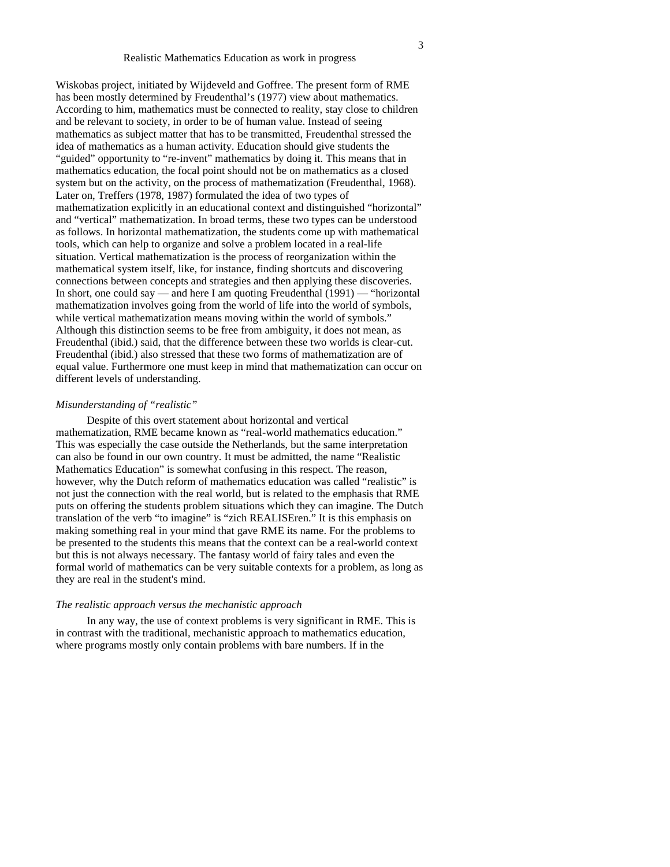Wiskobas project, initiated by Wijdeveld and Goffree. The present form of RME has been mostly determined by Freudenthal's (1977) view about mathematics. According to him, mathematics must be connected to reality, stay close to children and be relevant to society, in order to be of human value. Instead of seeing mathematics as subject matter that has to be transmitted, Freudenthal stressed the idea of mathematics as a human activity. Education should give students the "guided" opportunity to "re-invent" mathematics by doing it. This means that in mathematics education, the focal point should not be on mathematics as a closed system but on the activity, on the process of mathematization (Freudenthal, 1968). Later on, Treffers (1978, 1987) formulated the idea of two types of mathematization explicitly in an educational context and distinguished "horizontal" and "vertical" mathematization. In broad terms, these two types can be understood as follows. In horizontal mathematization, the students come up with mathematical tools, which can help to organize and solve a problem located in a real-life situation. Vertical mathematization is the process of reorganization within the mathematical system itself, like, for instance, finding shortcuts and discovering connections between concepts and strategies and then applying these discoveries. In short, one could say — and here I am quoting Freudenthal (1991) — "horizontal mathematization involves going from the world of life into the world of symbols, while vertical mathematization means moving within the world of symbols." Although this distinction seems to be free from ambiguity, it does not mean, as Freudenthal (ibid.) said, that the difference between these two worlds is clear-cut. Freudenthal (ibid.) also stressed that these two forms of mathematization are of equal value. Furthermore one must keep in mind that mathematization can occur on different levels of understanding.

## *Misunderstanding of "realistic"*

Despite of this overt statement about horizontal and vertical mathematization, RME became known as "real-world mathematics education." This was especially the case outside the Netherlands, but the same interpretation can also be found in our own country. It must be admitted, the name "Realistic Mathematics Education" is somewhat confusing in this respect. The reason, however, why the Dutch reform of mathematics education was called "realistic" is not just the connection with the real world, but is related to the emphasis that RME puts on offering the students problem situations which they can imagine. The Dutch translation of the verb "to imagine" is "zich REALISEren." It is this emphasis on making something real in your mind that gave RME its name. For the problems to be presented to the students this means that the context can be a real-world context but this is not always necessary. The fantasy world of fairy tales and even the formal world of mathematics can be very suitable contexts for a problem, as long as they are real in the student's mind.

#### *The realistic approach versus the mechanistic approach*

In any way, the use of context problems is very significant in RME. This is in contrast with the traditional, mechanistic approach to mathematics education, where programs mostly only contain problems with bare numbers. If in the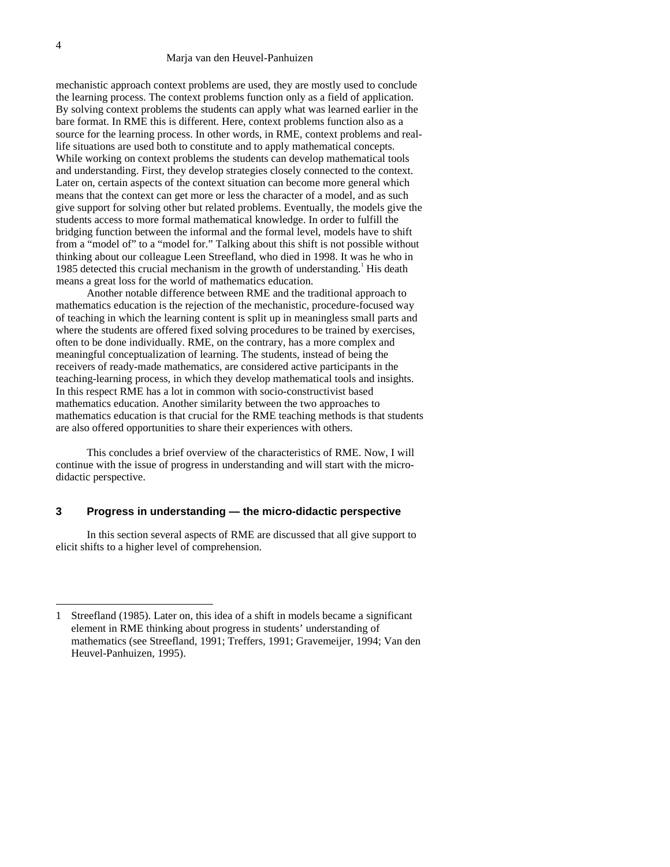mechanistic approach context problems are used, they are mostly used to conclude the learning process. The context problems function only as a field of application. By solving context problems the students can apply what was learned earlier in the bare format. In RME this is different. Here, context problems function also as a source for the learning process. In other words, in RME, context problems and reallife situations are used both to constitute and to apply mathematical concepts. While working on context problems the students can develop mathematical tools and understanding. First, they develop strategies closely connected to the context. Later on, certain aspects of the context situation can become more general which means that the context can get more or less the character of a model, and as such give support for solving other but related problems. Eventually, the models give the students access to more formal mathematical knowledge. In order to fulfill the bridging function between the informal and the formal level, models have to shift from a "model of" to a "model for." Talking about this shift is not possible without thinking about our colleague Leen Streefland, who died in 1998. It was he who in 1985 detected this crucial mechanism in the growth of understanding.<sup>1</sup> His death means a great loss for the world of mathematics education.

Another notable difference between RME and the traditional approach to mathematics education is the rejection of the mechanistic, procedure-focused way of teaching in which the learning content is split up in meaningless small parts and where the students are offered fixed solving procedures to be trained by exercises, often to be done individually. RME, on the contrary, has a more complex and meaningful conceptualization of learning. The students, instead of being the receivers of ready-made mathematics, are considered active participants in the teaching-learning process, in which they develop mathematical tools and insights. In this respect RME has a lot in common with socio-constructivist based mathematics education. Another similarity between the two approaches to mathematics education is that crucial for the RME teaching methods is that students are also offered opportunities to share their experiences with others.

This concludes a brief overview of the characteristics of RME. Now, I will continue with the issue of progress in understanding and will start with the microdidactic perspective.

# **3 Progress in understanding — the micro-didactic perspective**

In this section several aspects of RME are discussed that all give support to elicit shifts to a higher level of comprehension.

<sup>1</sup> Streefland (1985). Later on, this idea of a shift in models became a significant element in RME thinking about progress in students' understanding of mathematics (see Streefland, 1991; Treffers, 1991; Gravemeijer, 1994; Van den Heuvel-Panhuizen, 1995).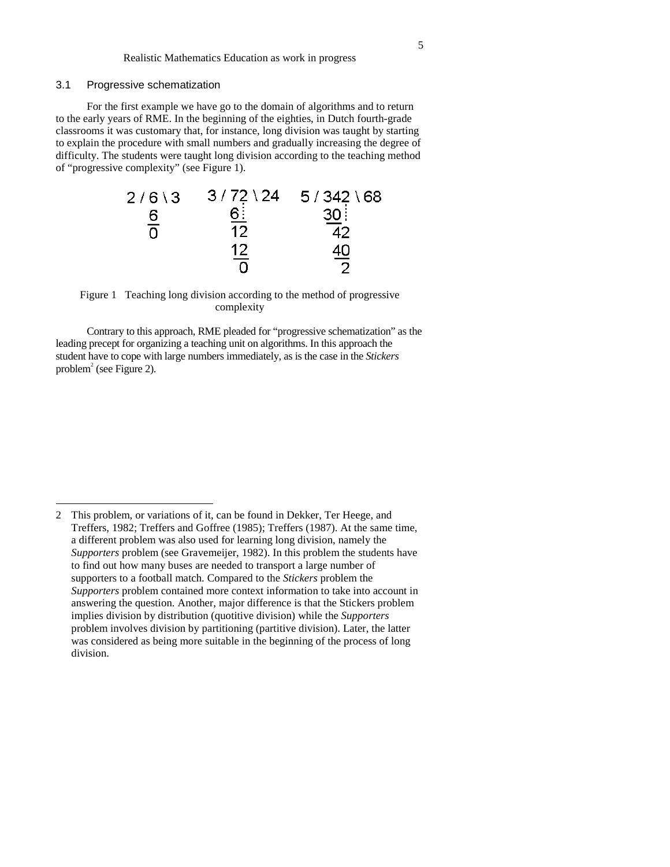# 3.1 Progressive schematization

 $\overline{a}$ 

For the first example we have go to the domain of algorithms and to return to the early years of RME. In the beginning of the eighties, in Dutch fourth-grade classrooms it was customary that, for instance, long division was taught by starting to explain the procedure with small numbers and gradually increasing the degree of difficulty. The students were taught long division according to the teaching method of "progressive complexity" (see Figure 1).

| $2/6$ \ 3     | $3/72 \backslash 24$ | $5/342 \setminus 68$ |
|---------------|----------------------|----------------------|
| 6             | <u>େ</u>             | 30 <sub>1</sub>      |
| $\frac{1}{0}$ | 12                   | 42                   |
|               | 12                   | <u>40</u>            |
|               | --                   |                      |

# Figure 1 Teaching long division according to the method of progressive complexity

Contrary to this approach, RME pleaded for "progressive schematization" as the leading precept for organizing a teaching unit on algorithms. In this approach the student have to cope with large numbers immediately, as is the case in the *Stickers* problem<sup>2</sup> (see Figure 2).

<sup>2</sup> This problem, or variations of it, can be found in Dekker, Ter Heege, and Treffers, 1982; Treffers and Goffree (1985); Treffers (1987). At the same time, a different problem was also used for learning long division, namely the *Supporters* problem (see Gravemeijer, 1982). In this problem the students have to find out how many buses are needed to transport a large number of supporters to a football match. Compared to the *Stickers* problem the *Supporters* problem contained more context information to take into account in answering the question. Another, major difference is that the Stickers problem implies division by distribution (quotitive division) while the *Supporters* problem involves division by partitioning (partitive division). Later, the latter was considered as being more suitable in the beginning of the process of long division.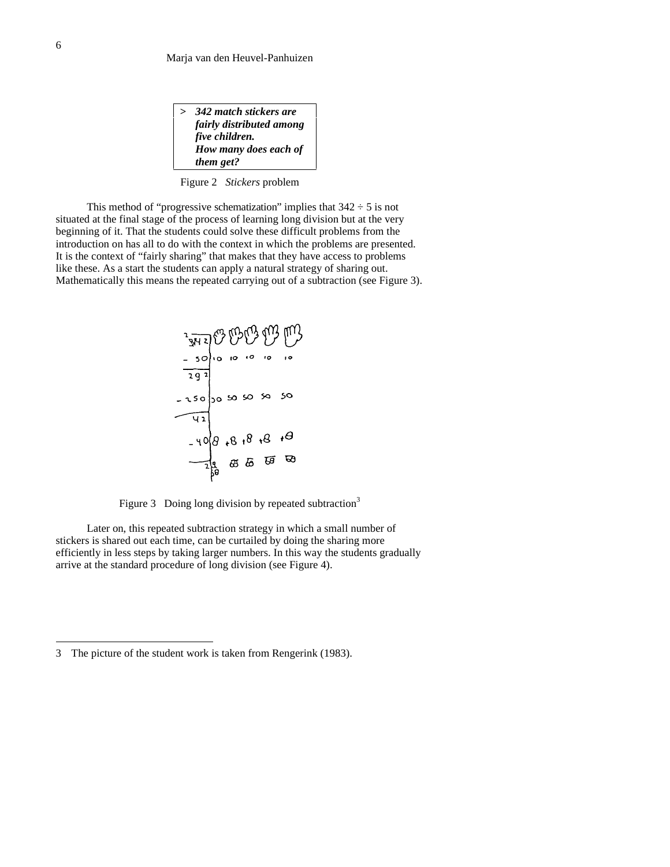| $\mathbf{v}$ | 342 match stickers are   |
|--------------|--------------------------|
|              | fairly distributed among |
|              | five children.           |
|              | How many does each of    |
|              | them get?                |

Figure 2 *Stickers* problem

This method of "progressive schematization" implies that  $342 \div 5$  is not situated at the final stage of the process of learning long division but at the very beginning of it. That the students could solve these difficult problems from the introduction on has all to do with the context in which the problems are presented. It is the context of "fairly sharing" that makes that they have access to problems like these. As a start the students can apply a natural strategy of sharing out. Mathematically this means the repeated carrying out of a subtraction (see Figure 3).

$$
\begin{array}{r}\n \begin{array}{r}\n \stackrel{1}{\cancel{9}} \\
 \hline\n 1 \cancel{9} \\
 -30 \\
 \hline\n 12 \\
 -30 \\
 \hline\n 13 \\
 -20 \\
 \hline\n 14 \\
 \hline\n 15 \\
 -40 \\
 \hline\n 16 \\
 -40 \\
 \hline\n 16 \\
 -40 \\
 \hline\n 16 \\
 -40 \\
 \hline\n 16 \\
 -40 \\
 \hline\n 16 \\
 -40 \\
 \hline\n 16 \\
 -40 \\
 \hline\n 16 \\
 -40 \\
 \hline\n 16 \\
 -40 \\
 \hline\n 16 \\
 -40 \\
 \hline\n 16 \\
 -40 \\
 \hline\n 16 \\
 -40 \\
 \hline\n 16 \\
 -40 \\
 \hline\n 16 \\
 -40 \\
 \hline\n 16 \\
 -40 \\
 \hline\n 16 \\
 -40 \\
 \hline\n 16 \\
 -40 \\
 \hline\n 16 \\
 -40 \\
 \hline\n 16 \\
 -40 \\
 \hline\n 16 \\
 -40 \\
 \hline\n 16 \\
 -40 \\
 \hline\n 16 \\
 -40 \\
 \hline\n 16 \\
 -40 \\
 \hline\n 16 \\
 -40 \\
 \hline\n 16 \\
 -40 \\
 \hline\n 16 \\
 -40 \\
 \hline\n 17 \\
 -40 \\
 \hline\n 18 \\
 -40 \\
 \hline\n 18 \\
 -40 \\
 \hline\n 19 \\
 -40 \\
 \hline\n 19 \\
 -40 \\
 \hline\n 10 \\
 -40 \\
 \hline\n 10 \\
 -40 \\
 \hline\n 10 \\
 -40 \\
 \hline\n 10 \\
 -40 \\
 \hline\n 10 \\
 -40 \\
 \hline\n 10 \\
 -40 \\
 \hline\n 10 \\
 -40 \\
 \hline\n 10 \\
 -40 \\
 \hline\n 10 \\
 -40 \\
 \hline\n 10 \\
 -40 \\
 \hline\n 10 \\
 -40 \\
 \hline\n 10 \\
 -40 \\
 \hline\n 10 \\
 -40 \\
 \hline\n 10 \\
 -40 \\
 \hline\n 10 \\
 -40 \\
 \hline\n 10 \\
 -40 \\
 \hline\n 10 \\
 -40 \\
 \hline\n 10 \\
 -40 \\
 \hline\n 10 \\
 -40 \\
 \hline\n 10 \\
 -40 \\
 \hline\n 10 \\
 -40 \\
 \hline\n 10 \\
 -40 \\
 \hline\n 10 \\
 -40 \\
 \hline\n 10 \\
 -40 \\
 \hline\n 10 \\
 -40 \\
 \hline\n 10 \\
 -40 \\
$$

Figure 3 Doing long division by repeated subtraction<sup>3</sup>

Later on, this repeated subtraction strategy in which a small number of stickers is shared out each time, can be curtailed by doing the sharing more efficiently in less steps by taking larger numbers. In this way the students gradually arrive at the standard procedure of long division (see Figure 4).

<sup>3</sup> The picture of the student work is taken from Rengerink (1983).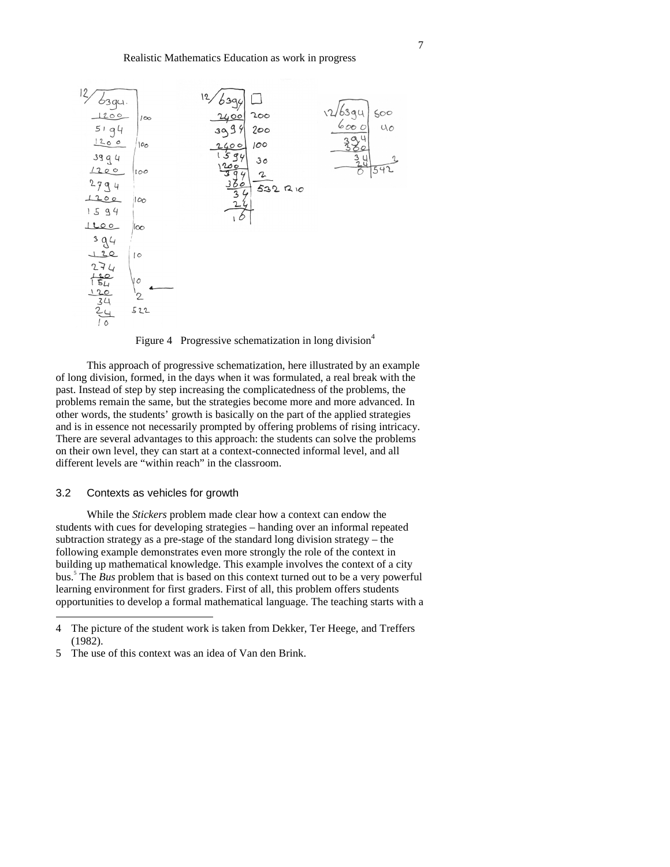

Figure 4 Progressive schematization in long division<sup>4</sup>

This approach of progressive schematization, here illustrated by an example of long division, formed, in the days when it was formulated, a real break with the past. Instead of step by step increasing the complicatedness of the problems, the problems remain the same, but the strategies become more and more advanced. In other words, the students' growth is basically on the part of the applied strategies and is in essence not necessarily prompted by offering problems of rising intricacy. There are several advantages to this approach: the students can solve the problems on their own level, they can start at a context-connected informal level, and all different levels are "within reach" in the classroom.

# 3.2 Contexts as vehicles for growth

 $\overline{a}$ 

While the *Stickers* problem made clear how a context can endow the students with cues for developing strategies – handing over an informal repeated subtraction strategy as a pre-stage of the standard long division strategy – the following example demonstrates even more strongly the role of the context in building up mathematical knowledge. This example involves the context of a city bus.<sup>5</sup> The *Bus* problem that is based on this context turned out to be a very powerful learning environment for first graders. First of all, this problem offers students opportunities to develop a formal mathematical language. The teaching starts with a

<sup>4</sup> The picture of the student work is taken from Dekker, Ter Heege, and Treffers (1982).

<sup>5</sup> The use of this context was an idea of Van den Brink.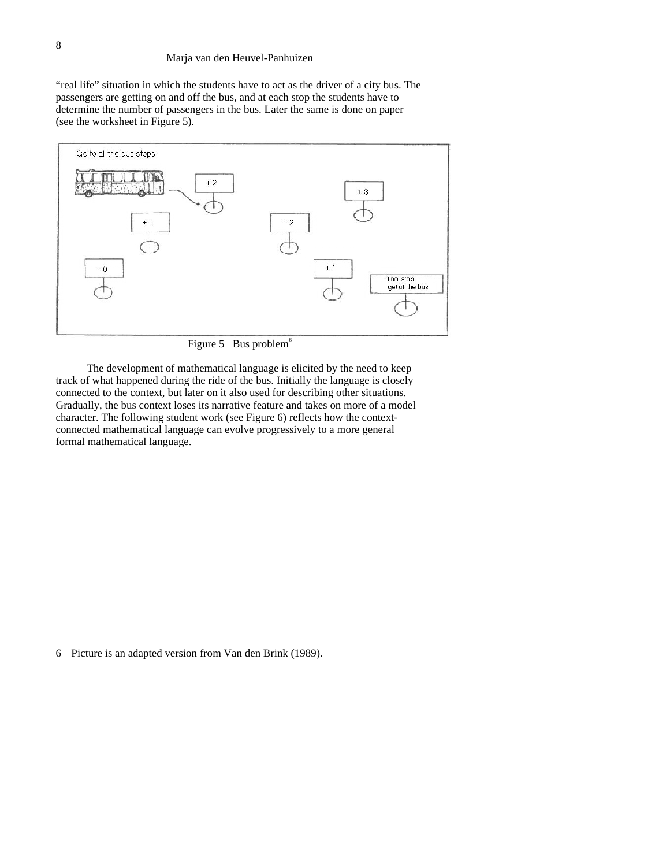"real life" situation in which the students have to act as the driver of a city bus. The passengers are getting on and off the bus, and at each stop the students have to determine the number of passengers in the bus. Later the same is done on paper (see the worksheet in Figure 5).



Figure 5 Bus problem $<sup>6</sup>$ </sup>

The development of mathematical language is elicited by the need to keep track of what happened during the ride of the bus. Initially the language is closely connected to the context, but later on it also used for describing other situations. Gradually, the bus context loses its narrative feature and takes on more of a model character. The following student work (see Figure 6) reflects how the contextconnected mathematical language can evolve progressively to a more general formal mathematical language.

<sup>6</sup> Picture is an adapted version from Van den Brink (1989).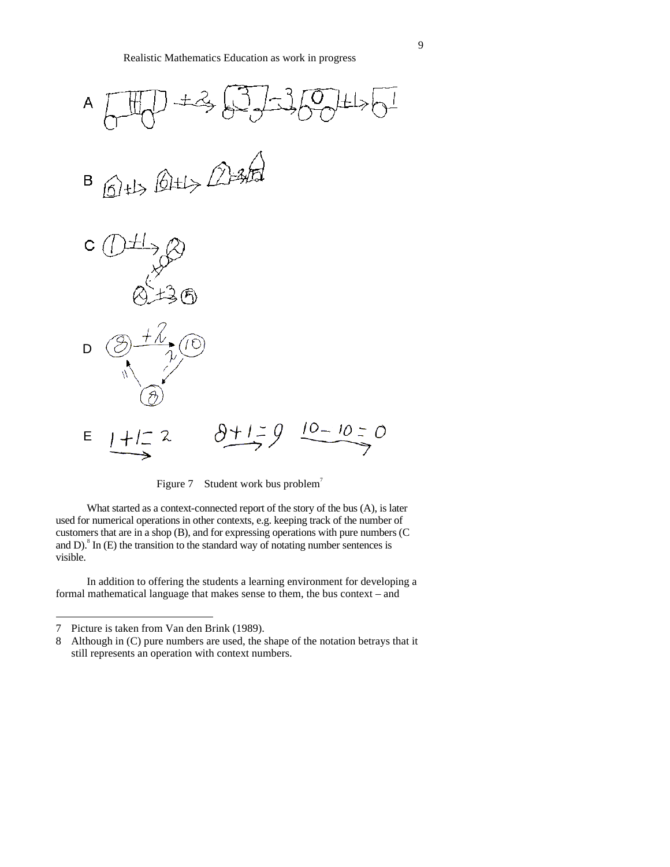

Figure 7 Student work bus problem<sup>7</sup>

What started as a context-connected report of the story of the bus (A), is later used for numerical operations in other contexts, e.g. keeping track of the number of customers that are in a shop (B), and for expressing operations with pure numbers (C and D). $^8$  In (E) the transition to the standard way of notating number sentences is visible.

In addition to offering the students a learning environment for developing a formal mathematical language that makes sense to them, the bus context – and

<sup>7</sup> Picture is taken from Van den Brink (1989).

<sup>8</sup> Although in (C) pure numbers are used, the shape of the notation betrays that it still represents an operation with context numbers.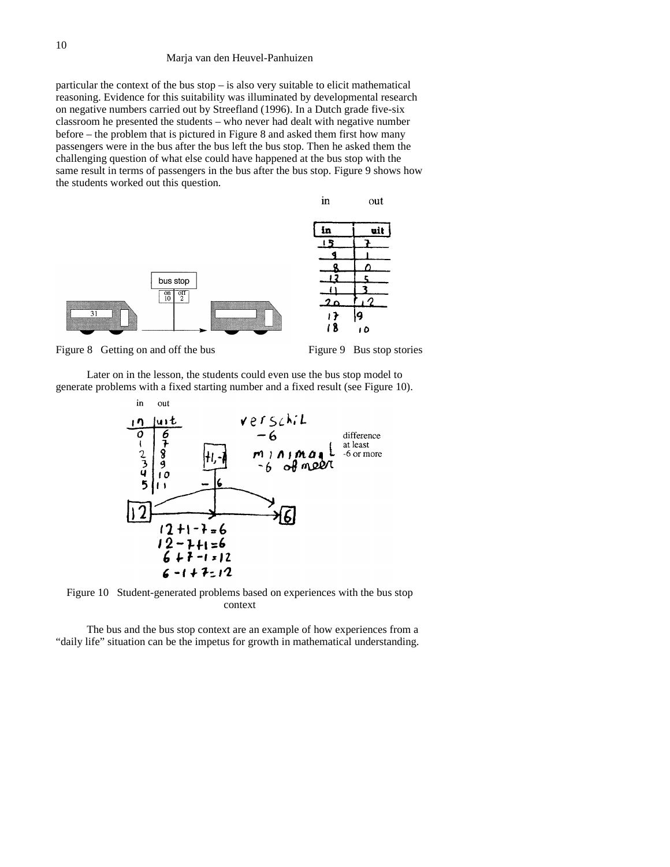particular the context of the bus stop – is also very suitable to elicit mathematical reasoning. Evidence for this suitability was illuminated by developmental research on negative numbers carried out by Streefland (1996). In a Dutch grade five-six classroom he presented the students – who never had dealt with negative number before – the problem that is pictured in Figure 8 and asked them first how many passengers were in the bus after the bus left the bus stop. Then he asked them the challenging question of what else could have happened at the bus stop with the same result in terms of passengers in the bus after the bus stop. Figure 9 shows how the students worked out this question.



Figure 8 Getting on and off the bus Figure 9 Bus stop stories

Later on in the lesson, the students could even use the bus stop model to generate problems with a fixed starting number and a fixed result (see Figure 10).



Figure 10 Student-generated problems based on experiences with the bus stop context

The bus and the bus stop context are an example of how experiences from a "daily life" situation can be the impetus for growth in mathematical understanding.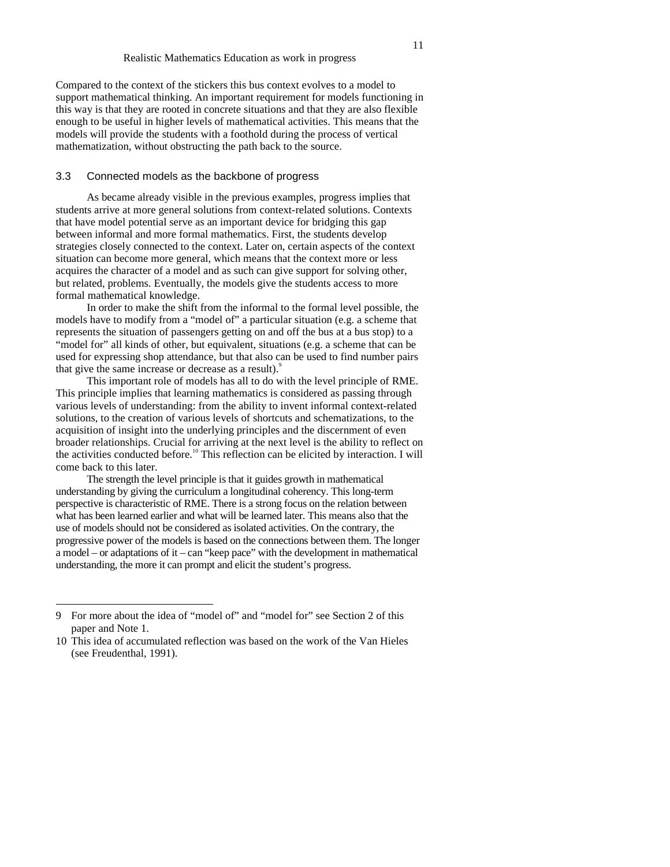Compared to the context of the stickers this bus context evolves to a model to support mathematical thinking. An important requirement for models functioning in this way is that they are rooted in concrete situations and that they are also flexible enough to be useful in higher levels of mathematical activities. This means that the models will provide the students with a foothold during the process of vertical mathematization, without obstructing the path back to the source.

#### 3.3 Connected models as the backbone of progress

As became already visible in the previous examples, progress implies that students arrive at more general solutions from context-related solutions. Contexts that have model potential serve as an important device for bridging this gap between informal and more formal mathematics. First, the students develop strategies closely connected to the context. Later on, certain aspects of the context situation can become more general, which means that the context more or less acquires the character of a model and as such can give support for solving other, but related, problems. Eventually, the models give the students access to more formal mathematical knowledge.

In order to make the shift from the informal to the formal level possible, the models have to modify from a "model of" a particular situation (e.g. a scheme that represents the situation of passengers getting on and off the bus at a bus stop) to a "model for" all kinds of other, but equivalent, situations (e.g. a scheme that can be used for expressing shop attendance, but that also can be used to find number pairs that give the same increase or decrease as a result).<sup>9</sup>

This important role of models has all to do with the level principle of RME. This principle implies that learning mathematics is considered as passing through various levels of understanding: from the ability to invent informal context-related solutions, to the creation of various levels of shortcuts and schematizations, to the acquisition of insight into the underlying principles and the discernment of even broader relationships. Crucial for arriving at the next level is the ability to reflect on the activities conducted before.<sup>10</sup> This reflection can be elicited by interaction. I will come back to this later.

The strength the level principle is that it guides growth in mathematical understanding by giving the curriculum a longitudinal coherency. This long-term perspective is characteristic of RME. There is a strong focus on the relation between what has been learned earlier and what will be learned later. This means also that the use of models should not be considered as isolated activities. On the contrary, the progressive power of the models is based on the connections between them. The longer a model – or adaptations of it – can "keep pace" with the development in mathematical understanding, the more it can prompt and elicit the student's progress.

<sup>9</sup> For more about the idea of "model of" and "model for" see Section 2 of this paper and Note 1.

<sup>10</sup> This idea of accumulated reflection was based on the work of the Van Hieles (see Freudenthal, 1991).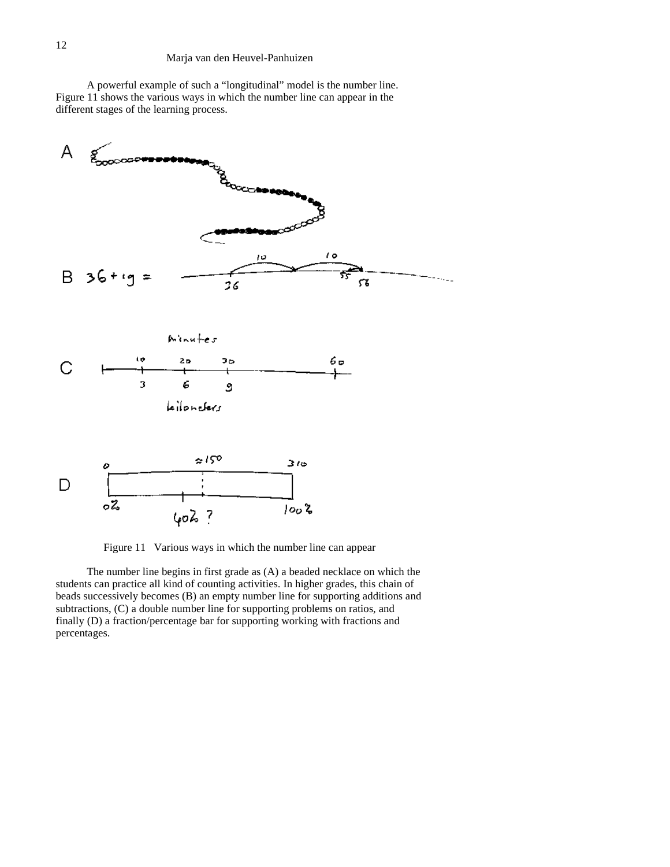A powerful example of such a "longitudinal" model is the number line. Figure 11 shows the various ways in which the number line can appear in the different stages of the learning process.



Figure 11 Various ways in which the number line can appear

The number line begins in first grade as (A) a beaded necklace on which the students can practice all kind of counting activities. In higher grades, this chain of beads successively becomes (B) an empty number line for supporting additions and subtractions, (C) a double number line for supporting problems on ratios, and finally (D) a fraction/percentage bar for supporting working with fractions and percentages.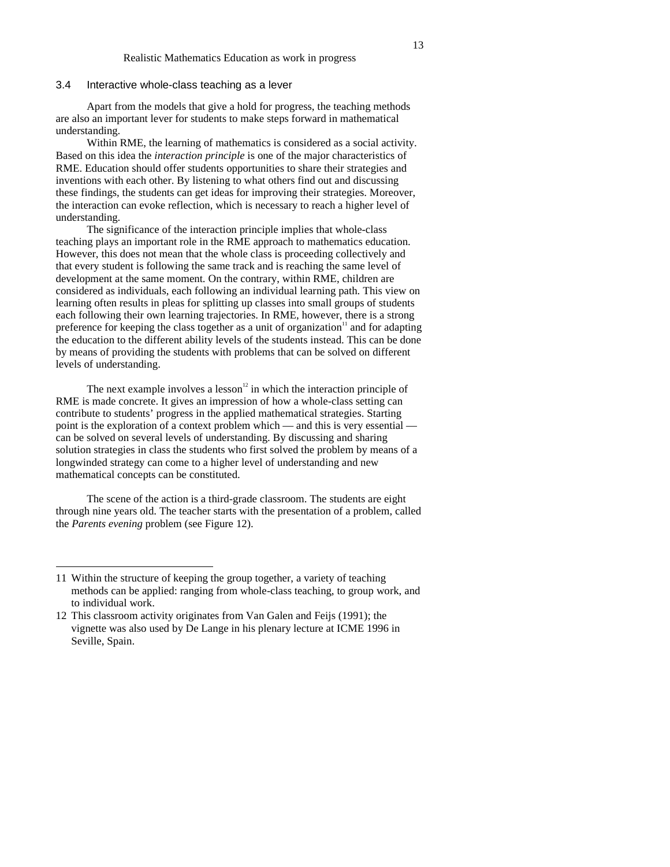## 3.4 Interactive whole-class teaching as a lever

Apart from the models that give a hold for progress, the teaching methods are also an important lever for students to make steps forward in mathematical understanding.

Within RME, the learning of mathematics is considered as a social activity. Based on this idea the *interaction principle* is one of the major characteristics of RME. Education should offer students opportunities to share their strategies and inventions with each other. By listening to what others find out and discussing these findings, the students can get ideas for improving their strategies. Moreover, the interaction can evoke reflection, which is necessary to reach a higher level of understanding.

The significance of the interaction principle implies that whole-class teaching plays an important role in the RME approach to mathematics education. However, this does not mean that the whole class is proceeding collectively and that every student is following the same track and is reaching the same level of development at the same moment. On the contrary, within RME, children are considered as individuals, each following an individual learning path. This view on learning often results in pleas for splitting up classes into small groups of students each following their own learning trajectories. In RME, however, there is a strong preference for keeping the class together as a unit of organization<sup> $\text{1}$ </sup> and for adapting the education to the different ability levels of the students instead. This can be done by means of providing the students with problems that can be solved on different levels of understanding.

The next example involves a lesson $12$  in which the interaction principle of RME is made concrete. It gives an impression of how a whole-class setting can contribute to students' progress in the applied mathematical strategies. Starting point is the exploration of a context problem which — and this is very essential can be solved on several levels of understanding. By discussing and sharing solution strategies in class the students who first solved the problem by means of a longwinded strategy can come to a higher level of understanding and new mathematical concepts can be constituted.

The scene of the action is a third-grade classroom. The students are eight through nine years old. The teacher starts with the presentation of a problem, called the *Parents evening* problem (see Figure 12).

<sup>11</sup> Within the structure of keeping the group together, a variety of teaching methods can be applied: ranging from whole-class teaching, to group work, and to individual work.

<sup>12</sup> This classroom activity originates from Van Galen and Feijs (1991); the vignette was also used by De Lange in his plenary lecture at ICME 1996 in Seville, Spain.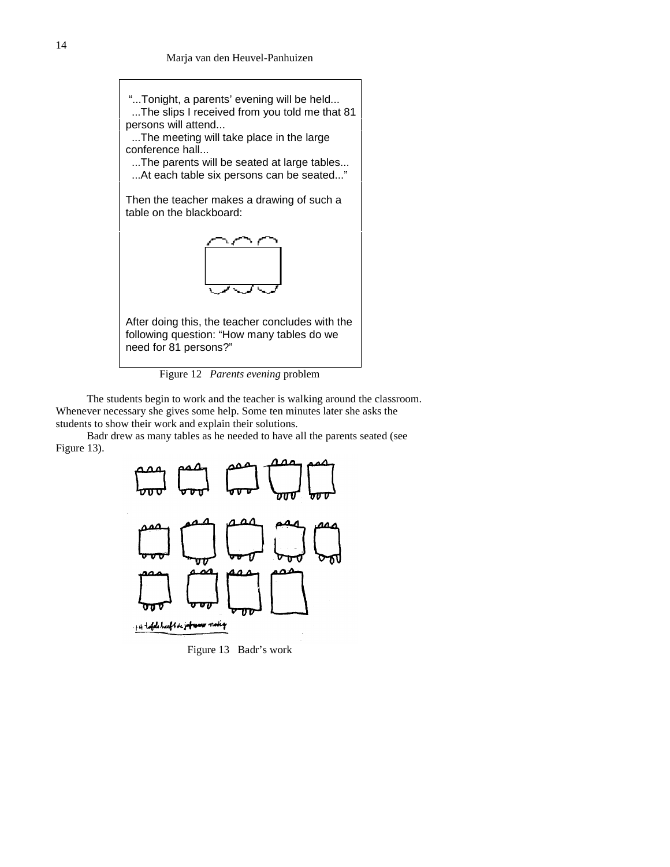

Figure 12 *Parents evening* problem

The students begin to work and the teacher is walking around the classroom. Whenever necessary she gives some help. Some ten minutes later she asks the students to show their work and explain their solutions.

Badr drew as many tables as he needed to have all the parents seated (see Figure 13).



Figure 13 Badr's work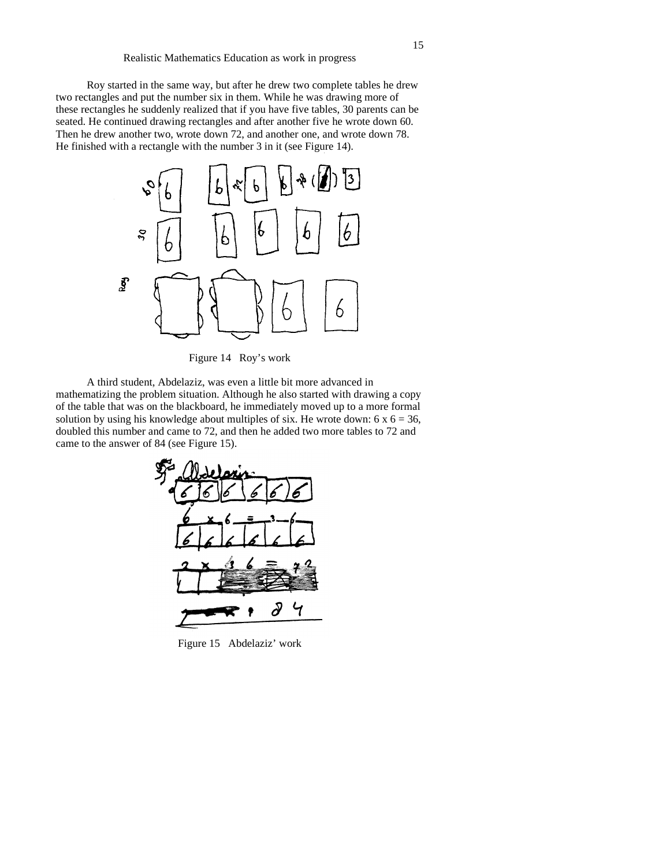Roy started in the same way, but after he drew two complete tables he drew two rectangles and put the number six in them. While he was drawing more of these rectangles he suddenly realized that if you have five tables, 30 parents can be seated. He continued drawing rectangles and after another five he wrote down 60. Then he drew another two, wrote down 72, and another one, and wrote down 78. He finished with a rectangle with the number 3 in it (see Figure 14).



Figure 14 Roy's work

A third student, Abdelaziz, was even a little bit more advanced in mathematizing the problem situation. Although he also started with drawing a copy of the table that was on the blackboard, he immediately moved up to a more formal solution by using his knowledge about multiples of six. He wrote down:  $6 \times 6 = 36$ , doubled this number and came to 72, and then he added two more tables to 72 and came to the answer of 84 (see Figure 15).



Figure 15 Abdelaziz' work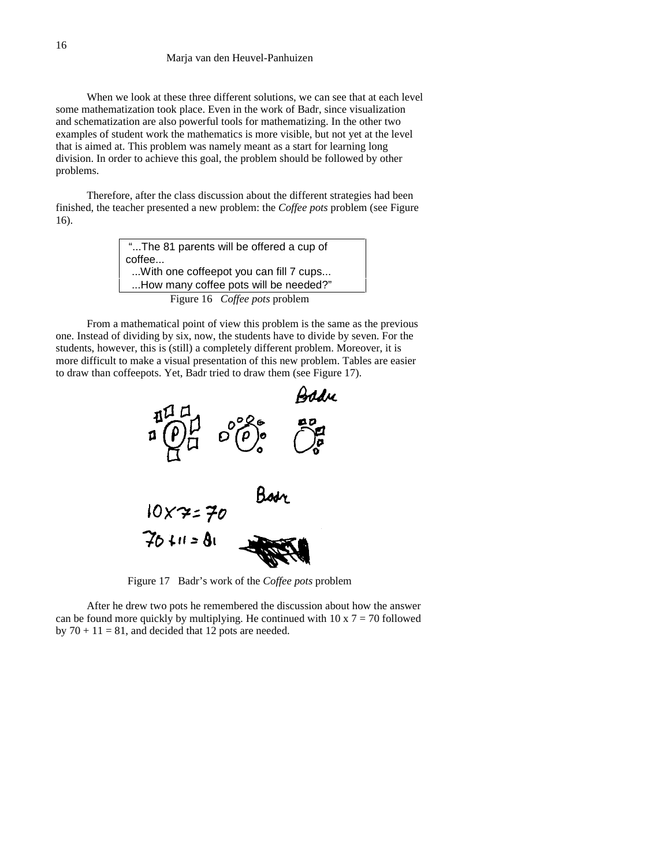When we look at these three different solutions, we can see that at each level some mathematization took place. Even in the work of Badr, since visualization and schematization are also powerful tools for mathematizing. In the other two examples of student work the mathematics is more visible, but not yet at the level that is aimed at. This problem was namely meant as a start for learning long division. In order to achieve this goal, the problem should be followed by other problems.

Therefore, after the class discussion about the different strategies had been finished, the teacher presented a new problem: the *Coffee pots* problem (see Figure 16).

| "The 81 parents will be offered a cup of |
|------------------------------------------|
| coffee                                   |
| With one coffeepot you can fill 7 cups   |
| How many coffee pots will be needed?"    |
| Figure 16 <i>Coffee pots</i> problem     |

From a mathematical point of view this problem is the same as the previous one. Instead of dividing by six, now, the students have to divide by seven. For the students, however, this is (still) a completely different problem. Moreover, it is more difficult to make a visual presentation of this new problem. Tables are easier to draw than coffeepots. Yet, Badr tried to draw them (see Figure 17).



Figure 17 Badr's work of the *Coffee pots* problem

After he drew two pots he remembered the discussion about how the answer can be found more quickly by multiplying. He continued with  $10 \times 7 = 70$  followed by  $70 + 11 = 81$ , and decided that 12 pots are needed.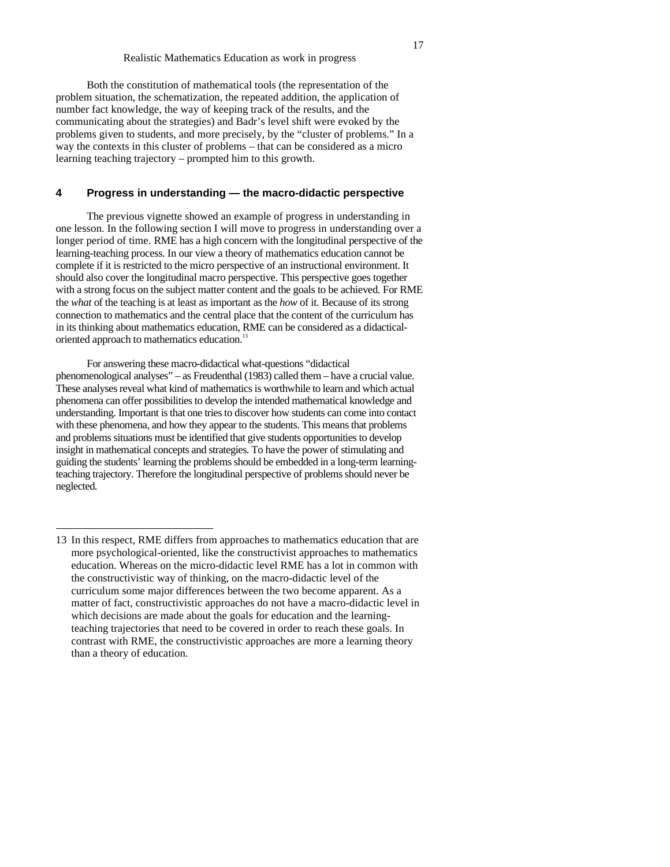Both the constitution of mathematical tools (the representation of the problem situation, the schematization, the repeated addition, the application of number fact knowledge, the way of keeping track of the results, and the communicating about the strategies) and Badr's level shift were evoked by the problems given to students, and more precisely, by the "cluster of problems." In a way the contexts in this cluster of problems – that can be considered as a micro learning teaching trajectory – prompted him to this growth.

# **4 Progress in understanding — the macro-didactic perspective**

The previous vignette showed an example of progress in understanding in one lesson. In the following section I will move to progress in understanding over a longer period of time. RME has a high concern with the longitudinal perspective of the learning-teaching process. In our view a theory of mathematics education cannot be complete if it is restricted to the micro perspective of an instructional environment. It should also cover the longitudinal macro perspective. This perspective goes together with a strong focus on the subject matter content and the goals to be achieved. For RME the *what* of the teaching is at least as important as the *how* of it. Because of its strong connection to mathematics and the central place that the content of the curriculum has in its thinking about mathematics education, RME can be considered as a didacticaloriented approach to mathematics education.<sup>13</sup>

For answering these macro-didactical what-questions "didactical phenomenological analyses" – as Freudenthal (1983) called them – have a crucial value. These analyses reveal what kind of mathematics is worthwhile to learn and which actual phenomena can offer possibilities to develop the intended mathematical knowledge and understanding. Important is that one tries to discover how students can come into contact with these phenomena, and how they appear to the students. This means that problems and problems situations must be identified that give students opportunities to develop insight in mathematical concepts and strategies. To have the power of stimulating and guiding the students' learning the problems should be embedded in a long-term learningteaching trajectory. Therefore the longitudinal perspective of problems should never be neglected.

<sup>13</sup> In this respect, RME differs from approaches to mathematics education that are more psychological-oriented, like the constructivist approaches to mathematics education. Whereas on the micro-didactic level RME has a lot in common with the constructivistic way of thinking, on the macro-didactic level of the curriculum some major differences between the two become apparent. As a matter of fact, constructivistic approaches do not have a macro-didactic level in which decisions are made about the goals for education and the learningteaching trajectories that need to be covered in order to reach these goals. In contrast with RME, the constructivistic approaches are more a learning theory than a theory of education.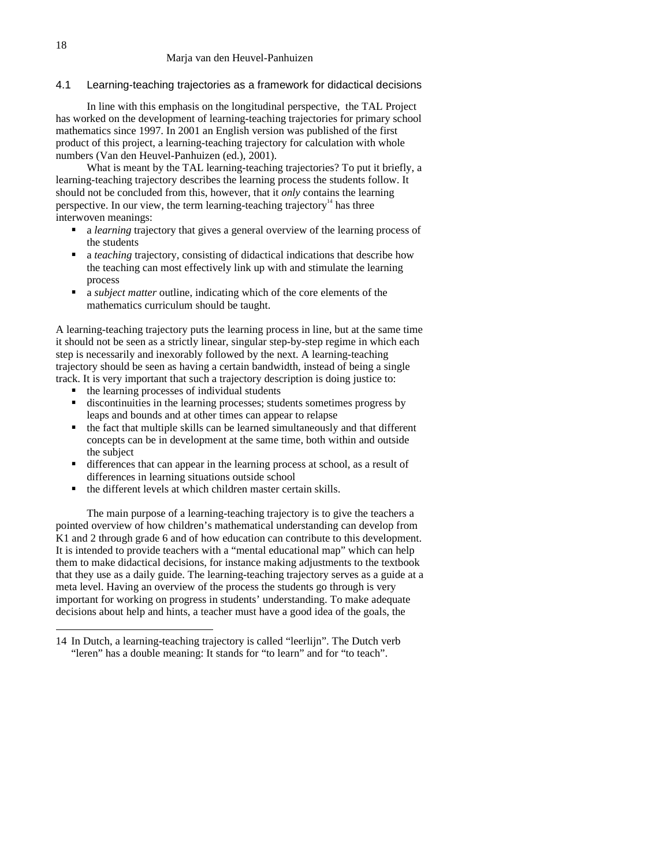# 4.1 Learning-teaching trajectories as a framework for didactical decisions

In line with this emphasis on the longitudinal perspective, the TAL Project has worked on the development of learning-teaching trajectories for primary school mathematics since 1997. In 2001 an English version was published of the first product of this project, a learning-teaching trajectory for calculation with whole numbers (Van den Heuvel-Panhuizen (ed.), 2001).

What is meant by the TAL learning-teaching trajectories? To put it briefly, a learning-teaching trajectory describes the learning process the students follow. It should not be concluded from this, however, that it *only* contains the learning perspective. In our view, the term learning-teaching trajectory<sup>14</sup> has three interwoven meanings:

- a *learning* trajectory that gives a general overview of the learning process of the students
- a *teaching* trajectory, consisting of didactical indications that describe how the teaching can most effectively link up with and stimulate the learning process
- a *subject matter* outline, indicating which of the core elements of the mathematics curriculum should be taught.

A learning-teaching trajectory puts the learning process in line, but at the same time it should not be seen as a strictly linear, singular step-by-step regime in which each step is necessarily and inexorably followed by the next. A learning-teaching trajectory should be seen as having a certain bandwidth, instead of being a single track. It is very important that such a trajectory description is doing justice to:

- the learning processes of individual students
- discontinuities in the learning processes; students sometimes progress by leaps and bounds and at other times can appear to relapse
- $\blacksquare$  the fact that multiple skills can be learned simultaneously and that different concepts can be in development at the same time, both within and outside the subject
- differences that can appear in the learning process at school, as a result of differences in learning situations outside school
- the different levels at which children master certain skills.

The main purpose of a learning-teaching trajectory is to give the teachers a pointed overview of how children's mathematical understanding can develop from K1 and 2 through grade 6 and of how education can contribute to this development. It is intended to provide teachers with a "mental educational map" which can help them to make didactical decisions, for instance making adjustments to the textbook that they use as a daily guide. The learning-teaching trajectory serves as a guide at a meta level. Having an overview of the process the students go through is very important for working on progress in students' understanding. To make adequate decisions about help and hints, a teacher must have a good idea of the goals, the

<sup>14</sup> In Dutch, a learning-teaching trajectory is called "leerlijn". The Dutch verb "leren" has a double meaning: It stands for "to learn" and for "to teach".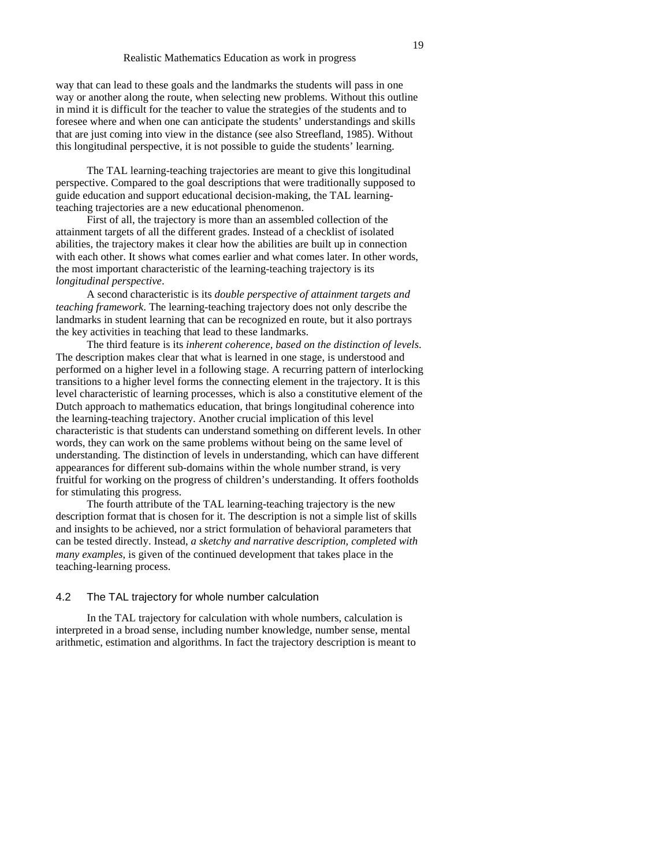way that can lead to these goals and the landmarks the students will pass in one way or another along the route, when selecting new problems. Without this outline in mind it is difficult for the teacher to value the strategies of the students and to foresee where and when one can anticipate the students' understandings and skills that are just coming into view in the distance (see also Streefland, 1985). Without this longitudinal perspective, it is not possible to guide the students' learning.

The TAL learning-teaching trajectories are meant to give this longitudinal perspective. Compared to the goal descriptions that were traditionally supposed to guide education and support educational decision-making, the TAL learningteaching trajectories are a new educational phenomenon.

First of all, the trajectory is more than an assembled collection of the attainment targets of all the different grades. Instead of a checklist of isolated abilities, the trajectory makes it clear how the abilities are built up in connection with each other. It shows what comes earlier and what comes later. In other words, the most important characteristic of the learning-teaching trajectory is its *longitudinal perspective*.

A second characteristic is its *double perspective of attainment targets and teaching framework*. The learning-teaching trajectory does not only describe the landmarks in student learning that can be recognized en route, but it also portrays the key activities in teaching that lead to these landmarks.

The third feature is its *inherent coherence, based on the distinction of levels*. The description makes clear that what is learned in one stage, is understood and performed on a higher level in a following stage. A recurring pattern of interlocking transitions to a higher level forms the connecting element in the trajectory. It is this level characteristic of learning processes, which is also a constitutive element of the Dutch approach to mathematics education, that brings longitudinal coherence into the learning-teaching trajectory. Another crucial implication of this level characteristic is that students can understand something on different levels. In other words, they can work on the same problems without being on the same level of understanding. The distinction of levels in understanding, which can have different appearances for different sub-domains within the whole number strand, is very fruitful for working on the progress of children's understanding. It offers footholds for stimulating this progress.

The fourth attribute of the TAL learning-teaching trajectory is the new description format that is chosen for it. The description is not a simple list of skills and insights to be achieved, nor a strict formulation of behavioral parameters that can be tested directly. Instead, *a sketchy and narrative description, completed with many examples*, is given of the continued development that takes place in the teaching-learning process.

## 4.2 The TAL trajectory for whole number calculation

In the TAL trajectory for calculation with whole numbers, calculation is interpreted in a broad sense, including number knowledge, number sense, mental arithmetic, estimation and algorithms. In fact the trajectory description is meant to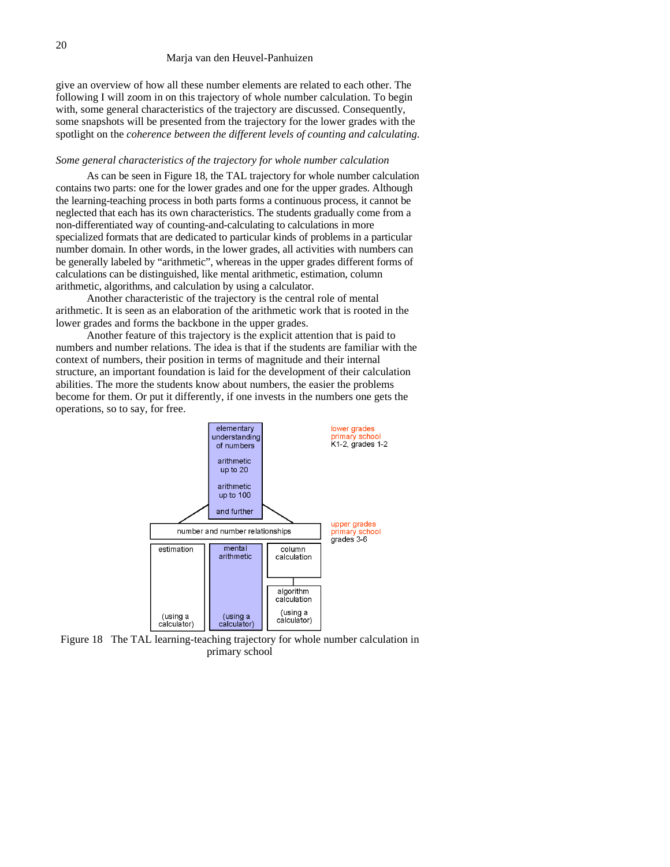give an overview of how all these number elements are related to each other. The following I will zoom in on this trajectory of whole number calculation. To begin with, some general characteristics of the trajectory are discussed. Consequently, some snapshots will be presented from the trajectory for the lower grades with the spotlight on the *coherence between the different levels of counting and calculating*.

#### *Some general characteristics of the trajectory for whole number calculation*

As can be seen in Figure 18, the TAL trajectory for whole number calculation contains two parts: one for the lower grades and one for the upper grades. Although the learning-teaching process in both parts forms a continuous process, it cannot be neglected that each has its own characteristics. The students gradually come from a non-differentiated way of counting-and-calculating to calculations in more specialized formats that are dedicated to particular kinds of problems in a particular number domain. In other words, in the lower grades, all activities with numbers can be generally labeled by "arithmetic", whereas in the upper grades different forms of calculations can be distinguished, like mental arithmetic, estimation, column arithmetic, algorithms, and calculation by using a calculator.

Another characteristic of the trajectory is the central role of mental arithmetic. It is seen as an elaboration of the arithmetic work that is rooted in the lower grades and forms the backbone in the upper grades.

Another feature of this trajectory is the explicit attention that is paid to numbers and number relations. The idea is that if the students are familiar with the context of numbers, their position in terms of magnitude and their internal structure, an important foundation is laid for the development of their calculation abilities. The more the students know about numbers, the easier the problems become for them. Or put it differently, if one invests in the numbers one gets the operations, so to say, for free.



Figure 18 The TAL learning-teaching trajectory for whole number calculation in primary school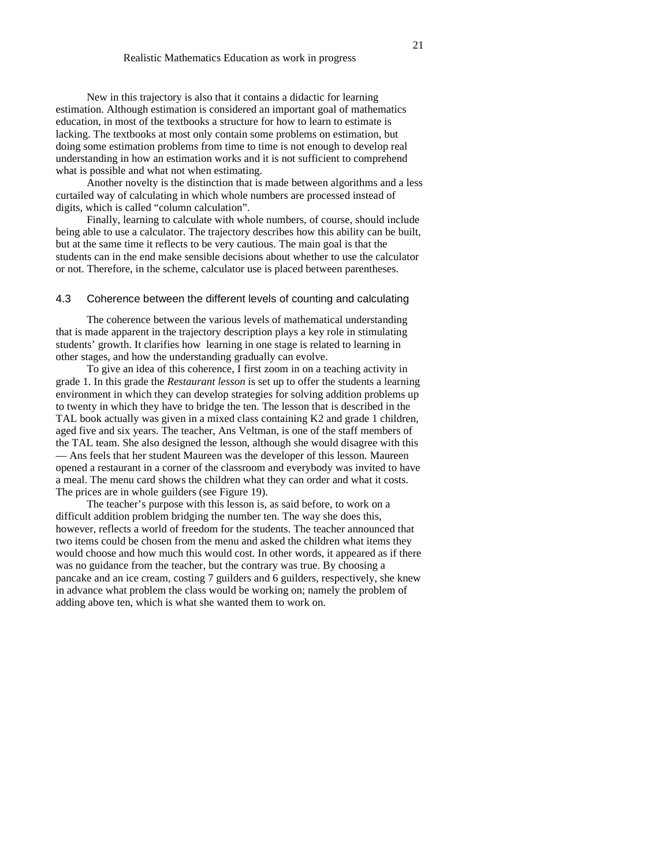New in this trajectory is also that it contains a didactic for learning estimation. Although estimation is considered an important goal of mathematics education, in most of the textbooks a structure for how to learn to estimate is lacking. The textbooks at most only contain some problems on estimation, but doing some estimation problems from time to time is not enough to develop real understanding in how an estimation works and it is not sufficient to comprehend what is possible and what not when estimating.

Another novelty is the distinction that is made between algorithms and a less curtailed way of calculating in which whole numbers are processed instead of digits, which is called "column calculation".

Finally, learning to calculate with whole numbers, of course, should include being able to use a calculator. The trajectory describes how this ability can be built, but at the same time it reflects to be very cautious. The main goal is that the students can in the end make sensible decisions about whether to use the calculator or not. Therefore, in the scheme, calculator use is placed between parentheses.

#### 4.3 Coherence between the different levels of counting and calculating

The coherence between the various levels of mathematical understanding that is made apparent in the trajectory description plays a key role in stimulating students' growth. It clarifies how learning in one stage is related to learning in other stages, and how the understanding gradually can evolve.

To give an idea of this coherence, I first zoom in on a teaching activity in grade 1. In this grade the *Restaurant lesson* is set up to offer the students a learning environment in which they can develop strategies for solving addition problems up to twenty in which they have to bridge the ten. The lesson that is described in the TAL book actually was given in a mixed class containing K2 and grade 1 children, aged five and six years. The teacher, Ans Veltman, is one of the staff members of the TAL team. She also designed the lesson, although she would disagree with this — Ans feels that her student Maureen was the developer of this lesson. Maureen opened a restaurant in a corner of the classroom and everybody was invited to have a meal. The menu card shows the children what they can order and what it costs. The prices are in whole guilders (see Figure 19).

The teacher's purpose with this lesson is, as said before, to work on a difficult addition problem bridging the number ten. The way she does this, however, reflects a world of freedom for the students. The teacher announced that two items could be chosen from the menu and asked the children what items they would choose and how much this would cost. In other words, it appeared as if there was no guidance from the teacher, but the contrary was true. By choosing a pancake and an ice cream, costing 7 guilders and 6 guilders, respectively, she knew in advance what problem the class would be working on; namely the problem of adding above ten, which is what she wanted them to work on.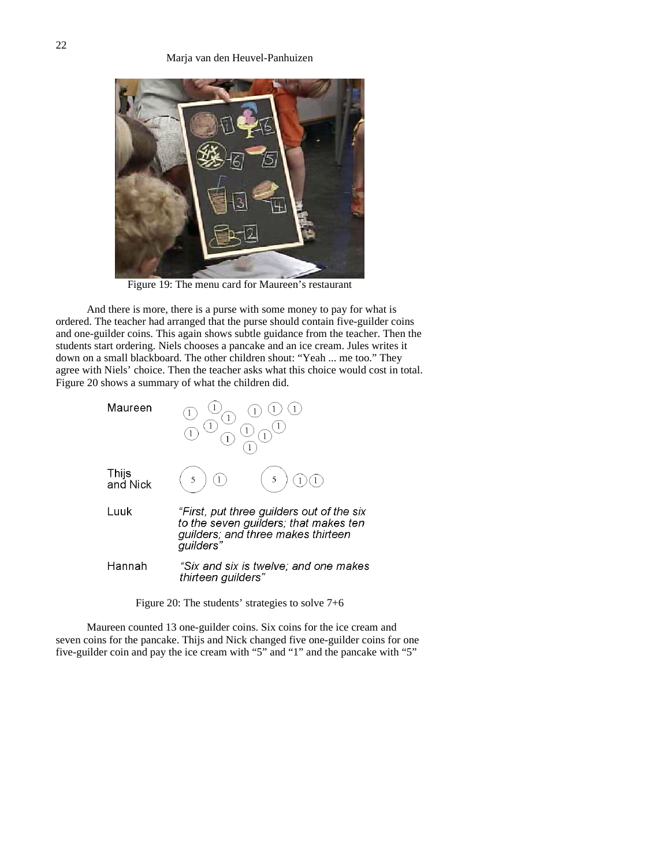

Figure 19: The menu card for Maureen's restaurant

And there is more, there is a purse with some money to pay for what is ordered. The teacher had arranged that the purse should contain five-guilder coins and one-guilder coins. This again shows subtle guidance from the teacher. Then the students start ordering. Niels chooses a pancake and an ice cream. Jules writes it down on a small blackboard. The other children shout: "Yeah ... me too." They agree with Niels' choice. Then the teacher asks what this choice would cost in total. Figure 20 shows a summary of what the children did.



Figure 20: The students' strategies to solve 7+6

Maureen counted 13 one-guilder coins. Six coins for the ice cream and seven coins for the pancake. Thijs and Nick changed five one-guilder coins for one five-guilder coin and pay the ice cream with "5" and "1" and the pancake with "5"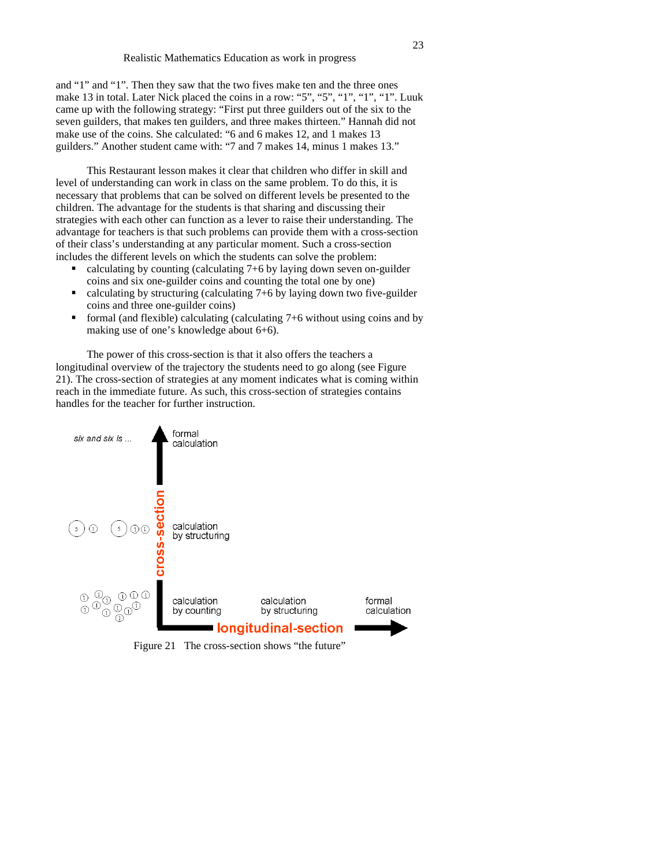and "1" and "1". Then they saw that the two fives make ten and the three ones make 13 in total. Later Nick placed the coins in a row: "5", "5", "1", "1", "1". Luuk came up with the following strategy: "First put three guilders out of the six to the seven guilders, that makes ten guilders, and three makes thirteen." Hannah did not make use of the coins. She calculated: "6 and 6 makes 12, and 1 makes 13 guilders." Another student came with: "7 and 7 makes 14, minus 1 makes 13."

This Restaurant lesson makes it clear that children who differ in skill and level of understanding can work in class on the same problem. To do this, it is necessary that problems that can be solved on different levels be presented to the children. The advantage for the students is that sharing and discussing their strategies with each other can function as a lever to raise their understanding. The advantage for teachers is that such problems can provide them with a cross-section of their class's understanding at any particular moment. Such a cross-section includes the different levels on which the students can solve the problem:

- calculating by counting (calculating 7+6 by laying down seven on-guilder coins and six one-guilder coins and counting the total one by one)
- calculating by structuring (calculating 7+6 by laying down two five-guilder coins and three one-guilder coins)
- formal (and flexible) calculating (calculating 7+6 without using coins and by making use of one's knowledge about 6+6).

The power of this cross-section is that it also offers the teachers a longitudinal overview of the trajectory the students need to go along (see Figure 21). The cross-section of strategies at any moment indicates what is coming within reach in the immediate future. As such, this cross-section of strategies contains handles for the teacher for further instruction.



Figure 21 The cross-section shows "the future"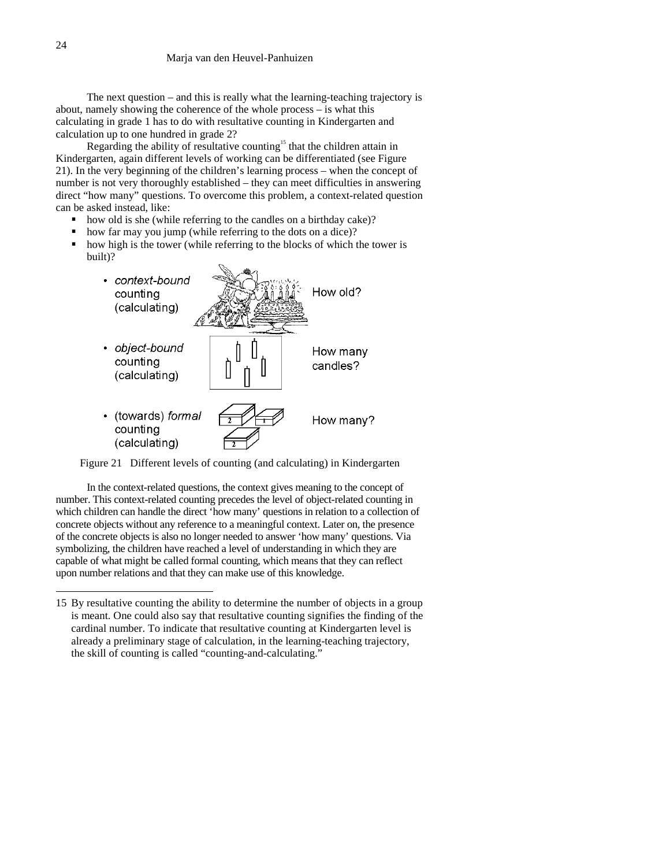The next question – and this is really what the learning-teaching trajectory is about, namely showing the coherence of the whole process – is what this calculating in grade 1 has to do with resultative counting in Kindergarten and calculation up to one hundred in grade 2?

Regarding the ability of resultative counting<sup>15</sup> that the children attain in Kindergarten, again different levels of working can be differentiated (see Figure 21). In the very beginning of the children's learning process – when the concept of number is not very thoroughly established – they can meet difficulties in answering direct "how many" questions. To overcome this problem, a context-related question can be asked instead, like:

- how old is she (while referring to the candles on a birthday cake)?
- how far may you jump (while referring to the dots on a dice)?
- how high is the tower (while referring to the blocks of which the tower is built)?



Figure 21 Different levels of counting (and calculating) in Kindergarten

In the context-related questions, the context gives meaning to the concept of number. This context-related counting precedes the level of object-related counting in which children can handle the direct 'how many' questions in relation to a collection of concrete objects without any reference to a meaningful context. Later on, the presence of the concrete objects is also no longer needed to answer 'how many' questions. Via symbolizing, the children have reached a level of understanding in which they are capable of what might be called formal counting, which means that they can reflect upon number relations and that they can make use of this knowledge.

<sup>15</sup> By resultative counting the ability to determine the number of objects in a group is meant. One could also say that resultative counting signifies the finding of the cardinal number. To indicate that resultative counting at Kindergarten level is already a preliminary stage of calculation, in the learning-teaching trajectory, the skill of counting is called "counting-and-calculating."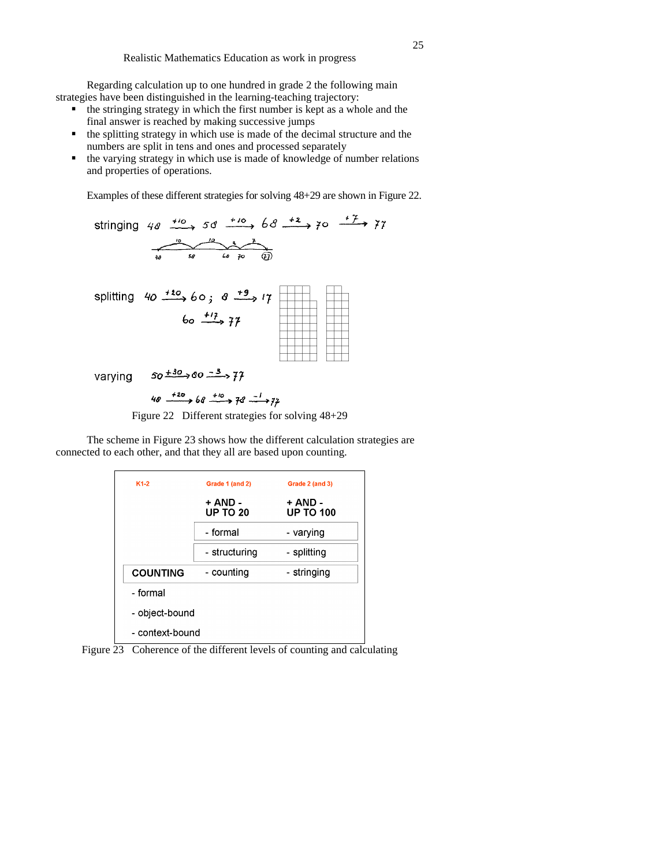Regarding calculation up to one hundred in grade 2 the following main strategies have been distinguished in the learning-teaching trajectory:

- $\blacksquare$  the stringing strategy in which the first number is kept as a whole and the final answer is reached by making successive jumps
- the splitting strategy in which use is made of the decimal structure and the numbers are split in tens and ones and processed separately
- the varying strategy in which use is made of knowledge of number relations and properties of operations.

Examples of these different strategies for solving 48+29 are shown in Figure 22.

stringing 40 
$$
\xrightarrow{10}
$$
 50  $\xrightarrow{10}$  68  $\xrightarrow{12}$  70  $\xrightarrow{+7}$  77  
\n  
\n $\xrightarrow{10}$  50  $\xrightarrow{12}$  60; 8  $\xrightarrow{+9}$  17  
\n60  $\xrightarrow{17}$  77  
\n  
\nVarying 50  $\xrightarrow{130}$  80  $\xrightarrow{-3}$  77  
\n40  $\xrightarrow{+20}$  60  $\xrightarrow{-3}$  77

Figure 22 Different strategies for solving 48+29

The scheme in Figure 23 shows how the different calculation strategies are connected to each other, and that they all are based upon counting.

| $K1-2$          | Grade 1 (and 2)            | Grade 2 (and 3)             |  |  |
|-----------------|----------------------------|-----------------------------|--|--|
|                 | + AND -<br><b>UP TO 20</b> | + AND -<br><b>UP TO 100</b> |  |  |
|                 | - formal                   | - varying                   |  |  |
|                 | - structuring              | - splitting                 |  |  |
| <b>COUNTING</b> | - counting                 | - stringing                 |  |  |
| - formal        |                            |                             |  |  |
| - object-bound  |                            |                             |  |  |
| - context-bound |                            |                             |  |  |

Figure 23 Coherence of the different levels of counting and calculating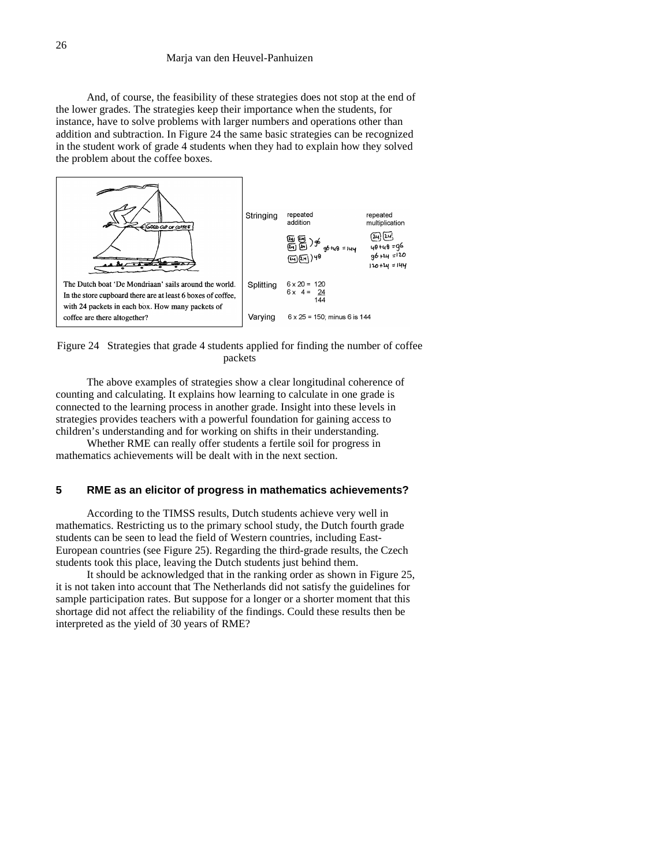And, of course, the feasibility of these strategies does not stop at the end of the lower grades. The strategies keep their importance when the students, for instance, have to solve problems with larger numbers and operations other than addition and subtraction. In Figure 24 the same basic strategies can be recognized in the student work of grade 4 students when they had to explain how they solved the problem about the coffee boxes.



Figure 24 Strategies that grade 4 students applied for finding the number of coffee packets

The above examples of strategies show a clear longitudinal coherence of counting and calculating. It explains how learning to calculate in one grade is connected to the learning process in another grade. Insight into these levels in strategies provides teachers with a powerful foundation for gaining access to children's understanding and for working on shifts in their understanding.

Whether RME can really offer students a fertile soil for progress in mathematics achievements will be dealt with in the next section.

# **5 RME as an elicitor of progress in mathematics achievements?**

According to the TIMSS results, Dutch students achieve very well in mathematics. Restricting us to the primary school study, the Dutch fourth grade students can be seen to lead the field of Western countries, including East-European countries (see Figure 25). Regarding the third-grade results, the Czech students took this place, leaving the Dutch students just behind them.

It should be acknowledged that in the ranking order as shown in Figure 25, it is not taken into account that The Netherlands did not satisfy the guidelines for sample participation rates. But suppose for a longer or a shorter moment that this shortage did not affect the reliability of the findings. Could these results then be interpreted as the yield of 30 years of RME?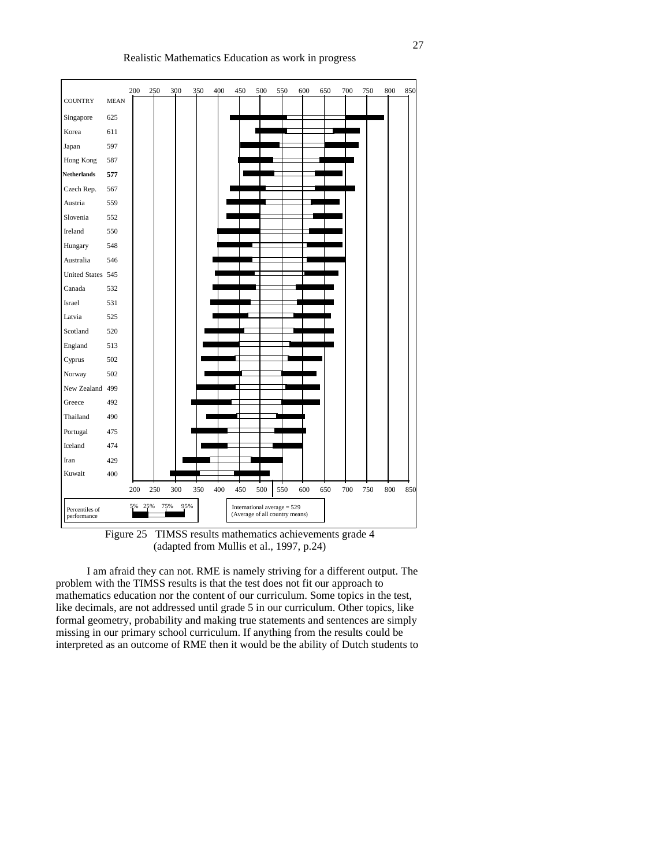| <b>COUNTRY</b>                | <b>MEAN</b> | 200 | 250 | 300 | 350 | 400 | 450 | 500                                                             | 550 | 600 | 650 | 700 | 750 | 800 | 850 |
|-------------------------------|-------------|-----|-----|-----|-----|-----|-----|-----------------------------------------------------------------|-----|-----|-----|-----|-----|-----|-----|
| Singapore                     | 625         |     |     |     |     |     |     |                                                                 |     |     |     |     |     |     |     |
| Korea                         | 611         |     |     |     |     |     |     |                                                                 |     |     |     |     |     |     |     |
| Japan                         | 597         |     |     |     |     |     |     |                                                                 |     |     |     |     |     |     |     |
| Hong Kong                     | 587         |     |     |     |     |     |     |                                                                 |     |     |     |     |     |     |     |
| <b>Netherlands</b>            | 577         |     |     |     |     |     |     |                                                                 |     |     |     |     |     |     |     |
| Czech Rep.                    | 567         |     |     |     |     |     |     |                                                                 |     |     |     |     |     |     |     |
| Austria                       | 559         |     |     |     |     |     |     |                                                                 |     |     |     |     |     |     |     |
| Slovenia                      | 552         |     |     |     |     |     |     |                                                                 |     |     |     |     |     |     |     |
| Ireland                       | 550         |     |     |     |     |     |     |                                                                 |     |     |     |     |     |     |     |
| Hungary                       | 548         |     |     |     |     |     |     |                                                                 |     |     |     |     |     |     |     |
| Australia                     | 546         |     |     |     |     |     |     |                                                                 |     |     |     |     |     |     |     |
| United States 545             |             |     |     |     |     |     |     |                                                                 |     |     |     |     |     |     |     |
| Canada                        | 532         |     |     |     |     |     |     |                                                                 |     |     |     |     |     |     |     |
| Israel                        | 531         |     |     |     |     |     |     |                                                                 |     |     |     |     |     |     |     |
| Latvia                        | 525         |     |     |     |     |     |     |                                                                 |     |     |     |     |     |     |     |
| Scotland                      | 520         |     |     |     |     |     |     |                                                                 |     |     |     |     |     |     |     |
| England                       | 513         |     |     |     |     |     |     |                                                                 |     |     |     |     |     |     |     |
| Cyprus                        | 502         |     |     |     |     |     |     |                                                                 |     |     |     |     |     |     |     |
| Norway                        | 502         |     |     |     |     |     |     |                                                                 |     |     |     |     |     |     |     |
| New Zealand 499               |             |     |     |     |     |     |     |                                                                 |     |     |     |     |     |     |     |
| Greece                        | 492         |     |     |     |     |     |     |                                                                 |     |     |     |     |     |     |     |
| Thailand                      | 490         |     |     |     |     |     |     |                                                                 |     |     |     |     |     |     |     |
| Portugal                      | 475         |     |     |     |     |     |     |                                                                 |     |     |     |     |     |     |     |
| Iceland                       | 474         |     |     |     |     |     |     |                                                                 |     |     |     |     |     |     |     |
| Iran                          | 429         |     |     |     |     |     |     |                                                                 |     |     |     |     |     |     |     |
| Kuwait                        | 400         |     |     |     |     |     |     |                                                                 |     |     |     |     |     |     |     |
|                               |             | 200 | 250 | 300 | 350 | 400 | 450 | 500                                                             | 550 | 600 | 650 | 700 | 750 | 800 | 850 |
| Percentiles of<br>performance |             | 5%  | 25% | 75% | 95% |     |     | International average $= 529$<br>(Average of all country means) |     |     |     |     |     |     |     |

Figure 25 TIMSS results mathematics achievements grade 4 (adapted from Mullis et al., 1997, p.24)

I am afraid they can not. RME is namely striving for a different output. The problem with the TIMSS results is that the test does not fit our approach to mathematics education nor the content of our curriculum. Some topics in the test, like decimals, are not addressed until grade 5 in our curriculum. Other topics, like formal geometry, probability and making true statements and sentences are simply missing in our primary school curriculum. If anything from the results could be interpreted as an outcome of RME then it would be the ability of Dutch students to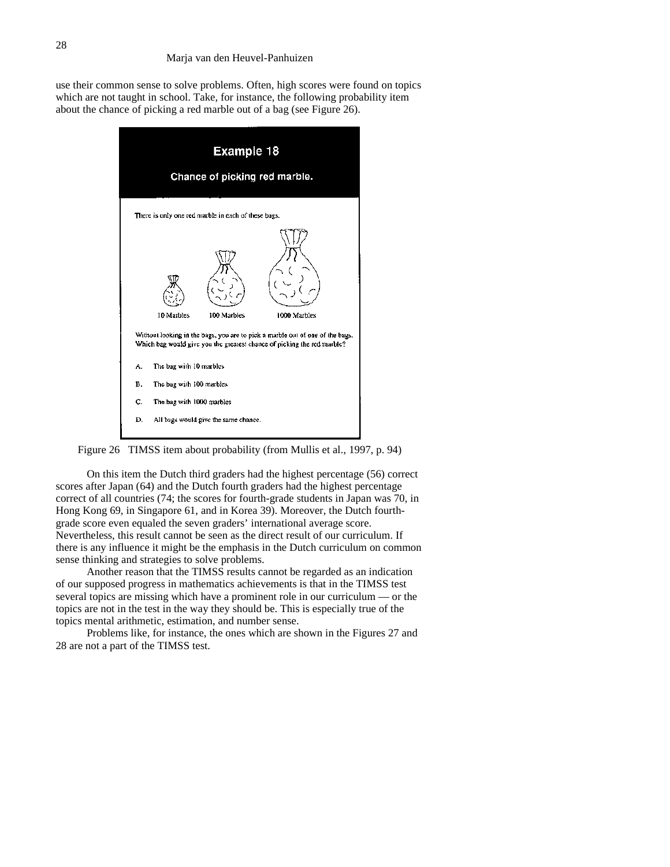use their common sense to solve problems. Often, high scores were found on topics which are not taught in school. Take, for instance, the following probability item about the chance of picking a red marble out of a bag (see Figure 26).



Figure 26 TIMSS item about probability (from Mullis et al., 1997, p. 94)

On this item the Dutch third graders had the highest percentage (56) correct scores after Japan (64) and the Dutch fourth graders had the highest percentage correct of all countries (74; the scores for fourth-grade students in Japan was 70, in Hong Kong 69, in Singapore 61, and in Korea 39). Moreover, the Dutch fourthgrade score even equaled the seven graders' international average score. Nevertheless, this result cannot be seen as the direct result of our curriculum. If there is any influence it might be the emphasis in the Dutch curriculum on common sense thinking and strategies to solve problems.

Another reason that the TIMSS results cannot be regarded as an indication of our supposed progress in mathematics achievements is that in the TIMSS test several topics are missing which have a prominent role in our curriculum — or the topics are not in the test in the way they should be. This is especially true of the topics mental arithmetic, estimation, and number sense.

Problems like, for instance, the ones which are shown in the Figures 27 and 28 are not a part of the TIMSS test.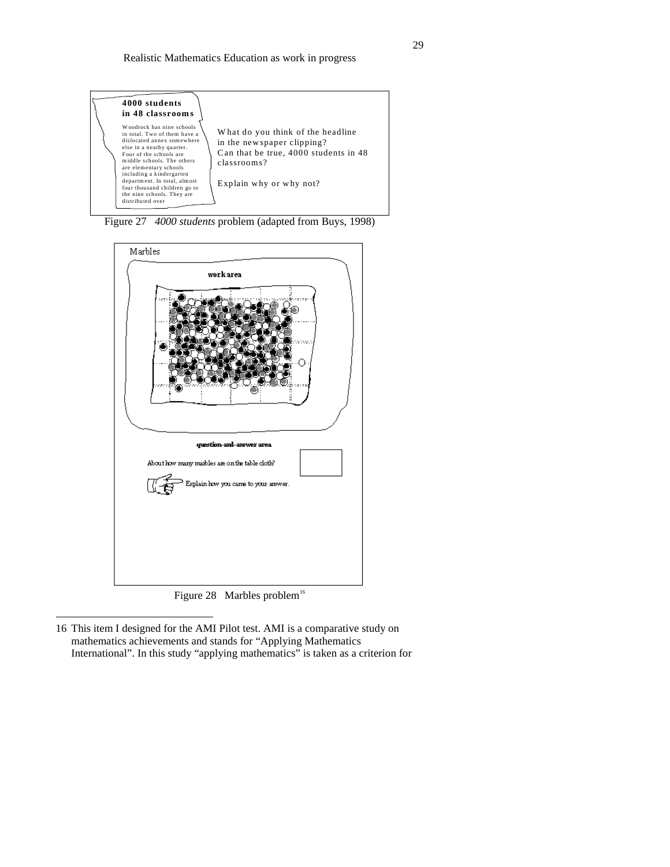

Figure 27 *4000 students* problem (adapted from Buys, 1998)



Figure 28 Marbles problem<sup>16</sup>

16 This item I designed for the AMI Pilot test. AMI is a comparative study on mathematics achievements and stands for "Applying Mathematics International". In this study "applying mathematics" is taken as a criterion for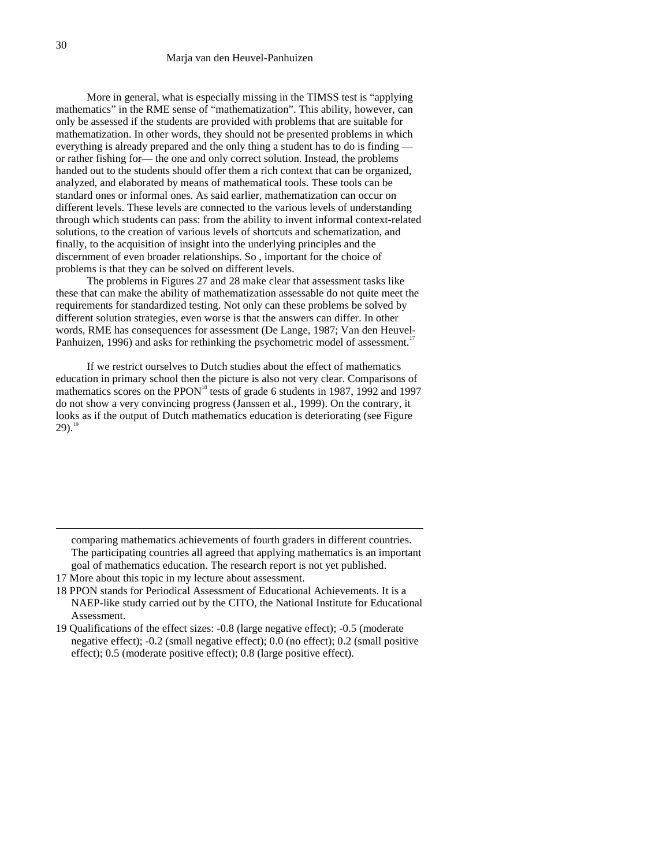More in general, what is especially missing in the TIMSS test is "applying mathematics" in the RME sense of "mathematization". This ability, however, can only be assessed if the students are provided with problems that are suitable for mathematization. In other words, they should not be presented problems in which everything is already prepared and the only thing a student has to do is finding or rather fishing for— the one and only correct solution. Instead, the problems handed out to the students should offer them a rich context that can be organized, analyzed, and elaborated by means of mathematical tools. These tools can be standard ones or informal ones. As said earlier, mathematization can occur on different levels. These levels are connected to the various levels of understanding through which students can pass: from the ability to invent informal context-related solutions, to the creation of various levels of shortcuts and schematization, and finally, to the acquisition of insight into the underlying principles and the discernment of even broader relationships. So , important for the choice of problems is that they can be solved on different levels.

The problems in Figures 27 and 28 make clear that assessment tasks like these that can make the ability of mathematization assessable do not quite meet the requirements for standardized testing. Not only can these problems be solved by different solution strategies, even worse is that the answers can differ. In other words, RME has consequences for assessment (De Lange, 1987; Van den Heuvel-Panhuizen, 1996) and asks for rethinking the psychometric model of assessment.<sup>1</sup>

If we restrict ourselves to Dutch studies about the effect of mathematics education in primary school then the picture is also not very clear. Comparisons of mathematics scores on the PPON<sup>18</sup> tests of grade 6 students in 1987, 1992 and 1997 do not show a very convincing progress (Janssen et al., 1999). On the contrary, it looks as if the output of Dutch mathematics education is deteriorating (see Figure  $29).$ <sup>1</sup>

comparing mathematics achievements of fourth graders in different countries. The participating countries all agreed that applying mathematics is an important goal of mathematics education. The research report is not yet published.

- 17 More about this topic in my lecture about assessment.
- 18 PPON stands for Periodical Assessment of Educational Achievements. It is a NAEP-like study carried out by the CITO, the National Institute for Educational Assessment.
- 19 Qualifications of the effect sizes: -0.8 (large negative effect); -0.5 (moderate negative effect); -0.2 (small negative effect); 0.0 (no effect); 0.2 (small positive effect); 0.5 (moderate positive effect); 0.8 (large positive effect).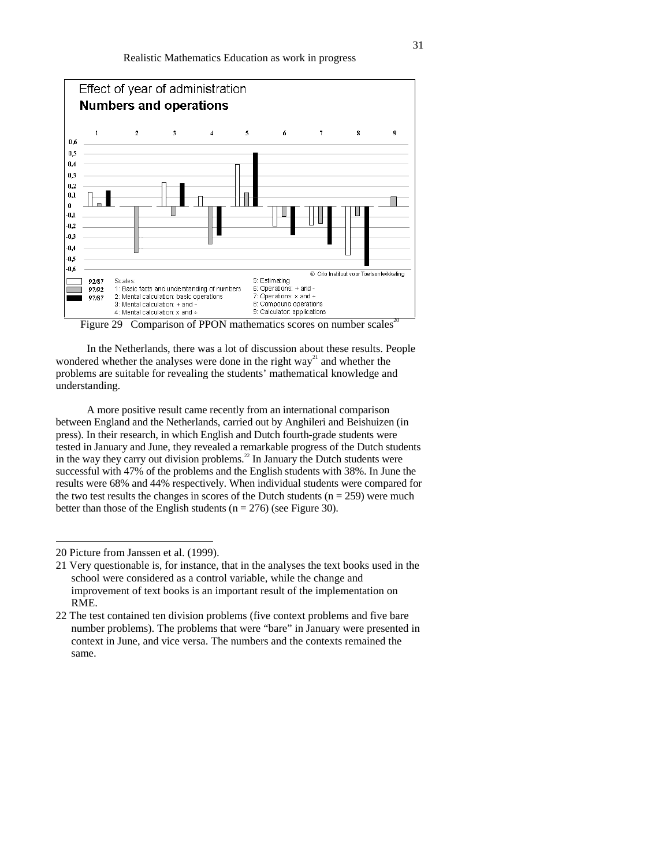

Figure 29 Comparison of PPON mathematics scores on number scales<sup>2</sup>

In the Netherlands, there was a lot of discussion about these results. People wondered whether the analyses were done in the right  $way<sup>21</sup>$  and whether the problems are suitable for revealing the students' mathematical knowledge and understanding.

A more positive result came recently from an international comparison between England and the Netherlands, carried out by Anghileri and Beishuizen (in press). In their research, in which English and Dutch fourth-grade students were tested in January and June, they revealed a remarkable progress of the Dutch students in the way they carry out division problems.<sup>22</sup> In January the Dutch students were successful with 47% of the problems and the English students with 38%. In June the results were 68% and 44% respectively. When individual students were compared for the two test results the changes in scores of the Dutch students ( $n = 259$ ) were much better than those of the English students ( $n = 276$ ) (see Figure 30).

<sup>20</sup> Picture from Janssen et al. (1999).

<sup>21</sup> Very questionable is, for instance, that in the analyses the text books used in the school were considered as a control variable, while the change and improvement of text books is an important result of the implementation on RME.

<sup>22</sup> The test contained ten division problems (five context problems and five bare number problems). The problems that were "bare" in January were presented in context in June, and vice versa. The numbers and the contexts remained the same.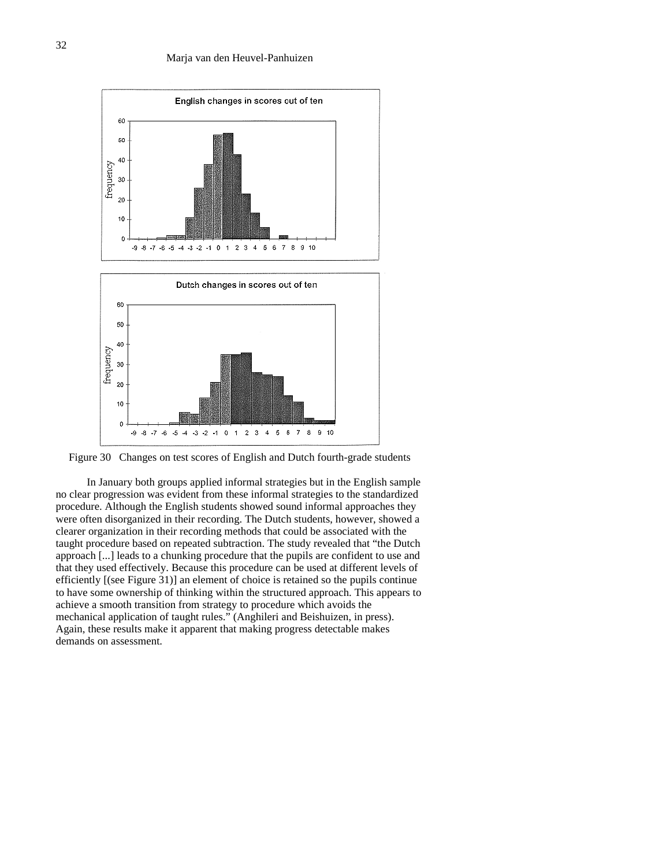

Figure 30 Changes on test scores of English and Dutch fourth-grade students

In January both groups applied informal strategies but in the English sample no clear progression was evident from these informal strategies to the standardized procedure. Although the English students showed sound informal approaches they were often disorganized in their recording. The Dutch students, however, showed a clearer organization in their recording methods that could be associated with the taught procedure based on repeated subtraction. The study revealed that "the Dutch approach [...] leads to a chunking procedure that the pupils are confident to use and that they used effectively. Because this procedure can be used at different levels of efficiently [(see Figure 31)] an element of choice is retained so the pupils continue to have some ownership of thinking within the structured approach. This appears to achieve a smooth transition from strategy to procedure which avoids the mechanical application of taught rules." (Anghileri and Beishuizen, in press). Again, these results make it apparent that making progress detectable makes demands on assessment.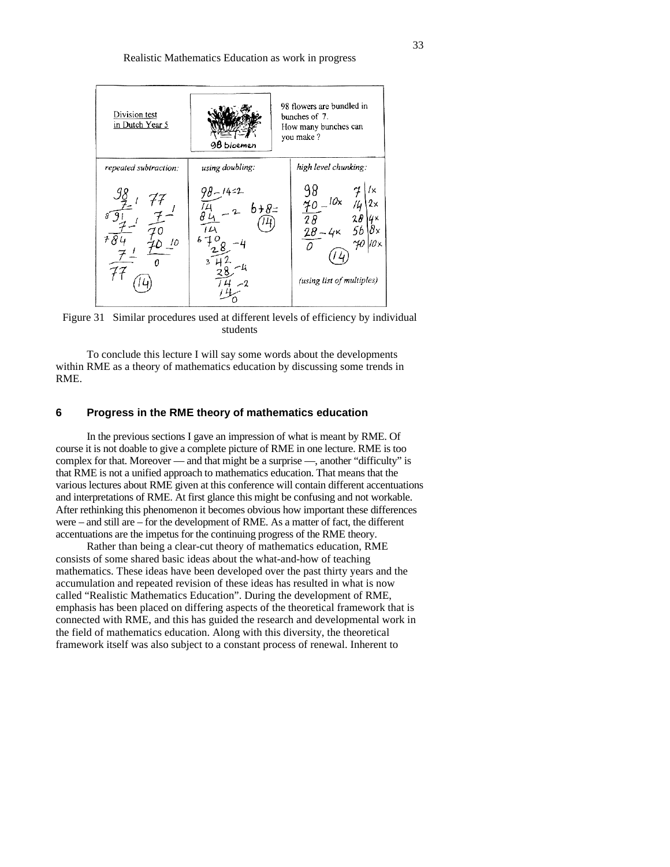

Figure 31 Similar procedures used at different levels of efficiency by individual students

To conclude this lecture I will say some words about the developments within RME as a theory of mathematics education by discussing some trends in RME.

# **6 Progress in the RME theory of mathematics education**

In the previous sections I gave an impression of what is meant by RME. Of course it is not doable to give a complete picture of RME in one lecture. RME is too complex for that. Moreover — and that might be a surprise —, another "difficulty" is that RME is not a unified approach to mathematics education. That means that the various lectures about RME given at this conference will contain different accentuations and interpretations of RME. At first glance this might be confusing and not workable. After rethinking this phenomenon it becomes obvious how important these differences were – and still are – for the development of RME. As a matter of fact, the different accentuations are the impetus for the continuing progress of the RME theory.

Rather than being a clear-cut theory of mathematics education, RME consists of some shared basic ideas about the what-and-how of teaching mathematics. These ideas have been developed over the past thirty years and the accumulation and repeated revision of these ideas has resulted in what is now called "Realistic Mathematics Education". During the development of RME, emphasis has been placed on differing aspects of the theoretical framework that is connected with RME, and this has guided the research and developmental work in the field of mathematics education. Along with this diversity, the theoretical framework itself was also subject to a constant process of renewal. Inherent to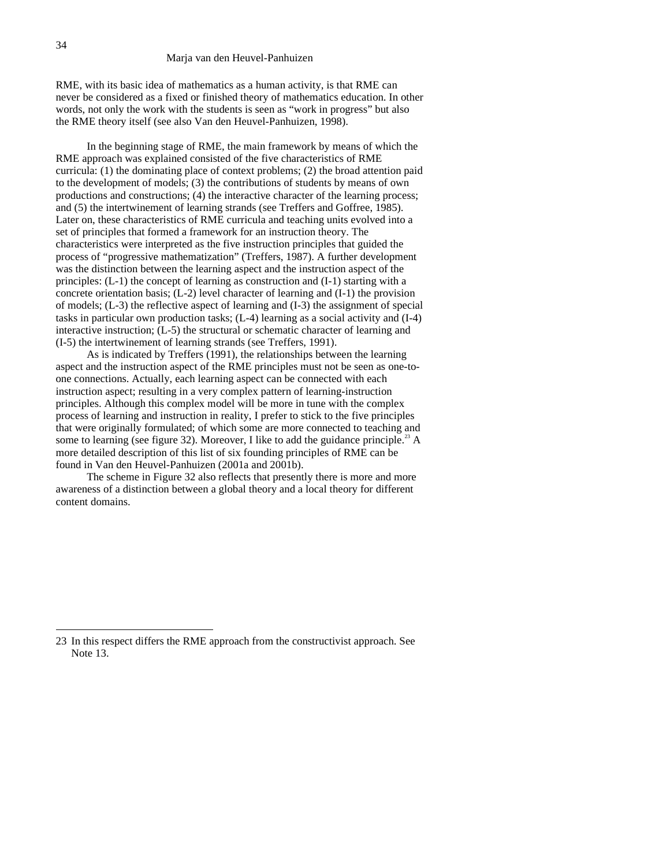RME, with its basic idea of mathematics as a human activity, is that RME can never be considered as a fixed or finished theory of mathematics education. In other words, not only the work with the students is seen as "work in progress" but also the RME theory itself (see also Van den Heuvel-Panhuizen, 1998).

In the beginning stage of RME, the main framework by means of which the RME approach was explained consisted of the five characteristics of RME curricula: (1) the dominating place of context problems; (2) the broad attention paid to the development of models; (3) the contributions of students by means of own productions and constructions; (4) the interactive character of the learning process; and (5) the intertwinement of learning strands (see Treffers and Goffree, 1985). Later on, these characteristics of RME curricula and teaching units evolved into a set of principles that formed a framework for an instruction theory. The characteristics were interpreted as the five instruction principles that guided the process of "progressive mathematization" (Treffers, 1987). A further development was the distinction between the learning aspect and the instruction aspect of the principles: (L-1) the concept of learning as construction and (I-1) starting with a concrete orientation basis; (L-2) level character of learning and (I-1) the provision of models; (L-3) the reflective aspect of learning and (I-3) the assignment of special tasks in particular own production tasks; (L-4) learning as a social activity and (I-4) interactive instruction; (L-5) the structural or schematic character of learning and (I-5) the intertwinement of learning strands (see Treffers, 1991).

As is indicated by Treffers (1991), the relationships between the learning aspect and the instruction aspect of the RME principles must not be seen as one-toone connections. Actually, each learning aspect can be connected with each instruction aspect; resulting in a very complex pattern of learning-instruction principles. Although this complex model will be more in tune with the complex process of learning and instruction in reality, I prefer to stick to the five principles that were originally formulated; of which some are more connected to teaching and some to learning (see figure 32). Moreover, I like to add the guidance principle.<sup>23</sup> A more detailed description of this list of six founding principles of RME can be found in Van den Heuvel-Panhuizen (2001a and 2001b).

The scheme in Figure 32 also reflects that presently there is more and more awareness of a distinction between a global theory and a local theory for different content domains.

<sup>23</sup> In this respect differs the RME approach from the constructivist approach. See Note 13.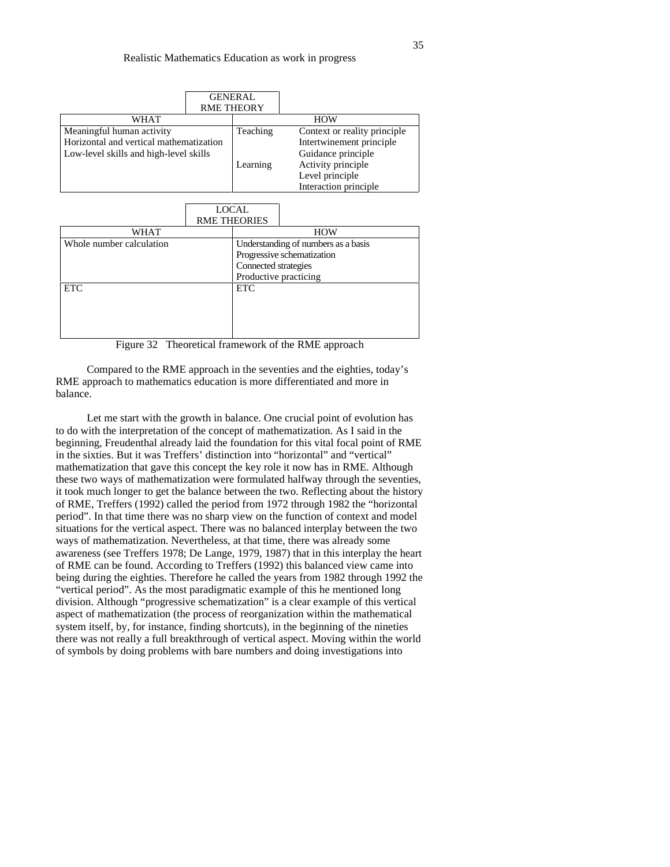|                                         | <b>RME THEORY</b> | <b>GENERAL</b> |                               |  |  |
|-----------------------------------------|-------------------|----------------|-------------------------------|--|--|
| WHAT                                    |                   |                | <b>HOW</b>                    |  |  |
| Meaningful human activity               |                   | Teaching       | Context or reality principle. |  |  |
| Horizontal and vertical mathematization |                   |                | Intertwinement principle      |  |  |
| Low-level skills and high-level skills  |                   |                | Guidance principle            |  |  |
|                                         |                   | Learning       | Activity principle            |  |  |
|                                         |                   |                | Level principle               |  |  |
|                                         |                   |                | Interaction principle         |  |  |

|                          |  | <b>LOCAL</b><br><b>RME THEORIES</b> |  |  |  |
|--------------------------|--|-------------------------------------|--|--|--|
| WHAT                     |  | <b>HOW</b>                          |  |  |  |
| Whole number calculation |  | Understanding of numbers as a basis |  |  |  |
|                          |  | Progressive schematization          |  |  |  |
|                          |  | Connected strategies                |  |  |  |
|                          |  | Productive practicing               |  |  |  |
| <b>ETC</b>               |  | <b>ETC</b>                          |  |  |  |
|                          |  |                                     |  |  |  |
|                          |  |                                     |  |  |  |
|                          |  |                                     |  |  |  |
|                          |  |                                     |  |  |  |

Figure 32 Theoretical framework of the RME approach

Compared to the RME approach in the seventies and the eighties, today's RME approach to mathematics education is more differentiated and more in balance.

Let me start with the growth in balance. One crucial point of evolution has to do with the interpretation of the concept of mathematization. As I said in the beginning, Freudenthal already laid the foundation for this vital focal point of RME in the sixties. But it was Treffers' distinction into "horizontal" and "vertical" mathematization that gave this concept the key role it now has in RME. Although these two ways of mathematization were formulated halfway through the seventies, it took much longer to get the balance between the two. Reflecting about the history of RME, Treffers (1992) called the period from 1972 through 1982 the "horizontal period". In that time there was no sharp view on the function of context and model situations for the vertical aspect. There was no balanced interplay between the two ways of mathematization. Nevertheless, at that time, there was already some awareness (see Treffers 1978; De Lange, 1979, 1987) that in this interplay the heart of RME can be found. According to Treffers (1992) this balanced view came into being during the eighties. Therefore he called the years from 1982 through 1992 the "vertical period". As the most paradigmatic example of this he mentioned long division. Although "progressive schematization" is a clear example of this vertical aspect of mathematization (the process of reorganization within the mathematical system itself, by, for instance, finding shortcuts), in the beginning of the nineties there was not really a full breakthrough of vertical aspect. Moving within the world of symbols by doing problems with bare numbers and doing investigations into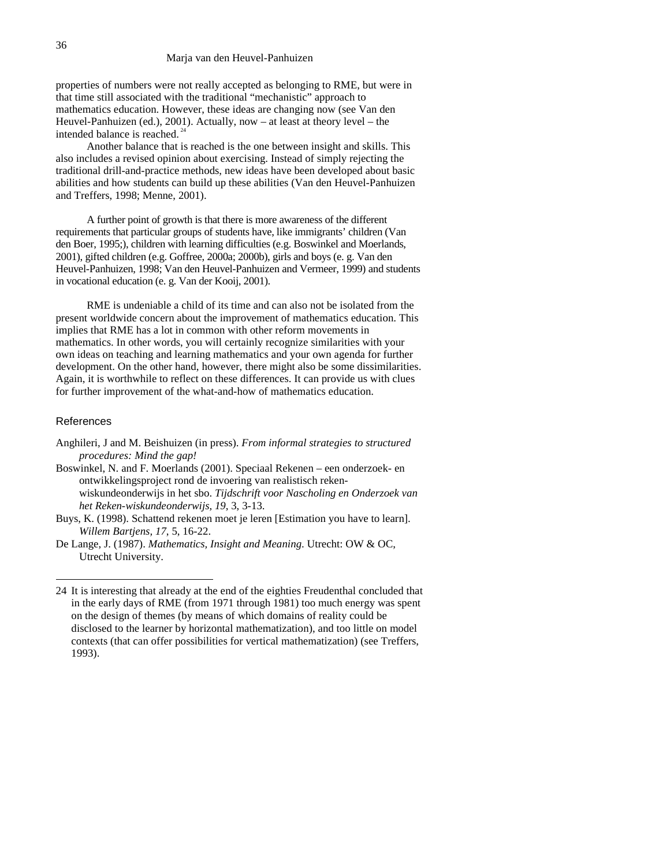properties of numbers were not really accepted as belonging to RME, but were in that time still associated with the traditional "mechanistic" approach to mathematics education. However, these ideas are changing now (see Van den Heuvel-Panhuizen (ed.), 2001). Actually, now – at least at theory level – the intended balance is reached.<sup>2</sup>

Another balance that is reached is the one between insight and skills. This also includes a revised opinion about exercising. Instead of simply rejecting the traditional drill-and-practice methods, new ideas have been developed about basic abilities and how students can build up these abilities (Van den Heuvel-Panhuizen and Treffers, 1998; Menne, 2001).

A further point of growth is that there is more awareness of the different requirements that particular groups of students have, like immigrants' children (Van den Boer, 1995;), children with learning difficulties (e.g. Boswinkel and Moerlands, 2001), gifted children (e.g. Goffree, 2000a; 2000b), girls and boys (e. g. Van den Heuvel-Panhuizen, 1998; Van den Heuvel-Panhuizen and Vermeer, 1999) and students in vocational education (e. g. Van der Kooij, 2001).

RME is undeniable a child of its time and can also not be isolated from the present worldwide concern about the improvement of mathematics education. This implies that RME has a lot in common with other reform movements in mathematics. In other words, you will certainly recognize similarities with your own ideas on teaching and learning mathematics and your own agenda for further development. On the other hand, however, there might also be some dissimilarities. Again, it is worthwhile to reflect on these differences. It can provide us with clues for further improvement of the what-and-how of mathematics education.

#### References

 $\overline{a}$ 

Anghileri, J and M. Beishuizen (in press). *From informal strategies to structured procedures: Mind the gap!*

Boswinkel, N. and F. Moerlands (2001). Speciaal Rekenen – een onderzoek- en ontwikkelingsproject rond de invoering van realistisch rekenwiskundeonderwijs in het sbo. *Tijdschrift voor Nascholing en Onderzoek van het Reken-wiskundeonderwijs, 19*, 3, 3-13.

Buys, K. (1998). Schattend rekenen moet je leren [Estimation you have to learn]. *Willem Bartjens, 17*, 5, 16-22.

De Lange, J. (1987). *Mathematics, Insight and Meaning*. Utrecht: OW & OC, Utrecht University.

<sup>24</sup> It is interesting that already at the end of the eighties Freudenthal concluded that in the early days of RME (from 1971 through 1981) too much energy was spent on the design of themes (by means of which domains of reality could be disclosed to the learner by horizontal mathematization), and too little on model contexts (that can offer possibilities for vertical mathematization) (see Treffers, 1993).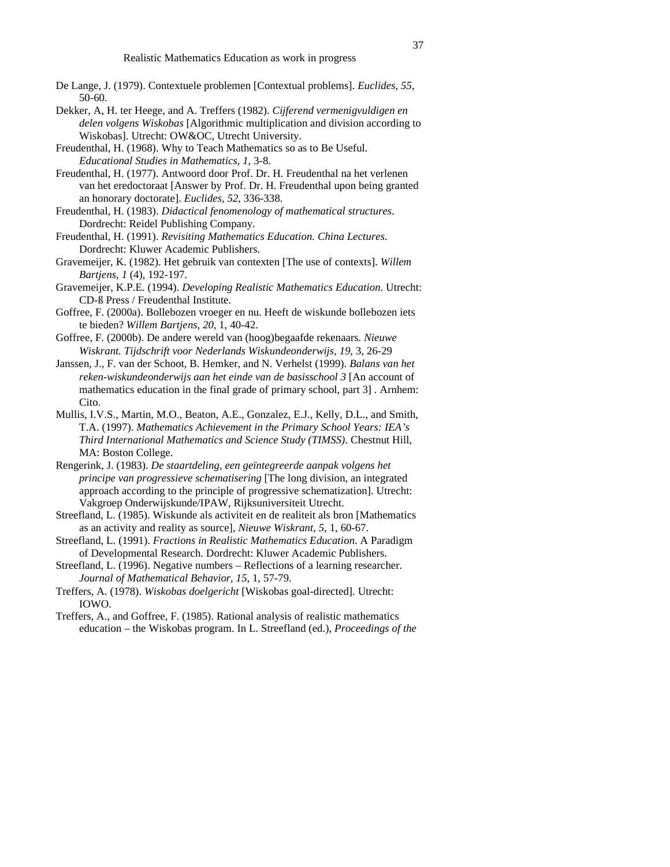- De Lange, J. (1979). Contextuele problemen [Contextual problems]. *Euclides, 55*, 50-60.
- Dekker, A, H. ter Heege, and A. Treffers (1982). *Cijferend vermenigvuldigen en delen volgens Wiskobas* [Algorithmic multiplication and division according to Wiskobas]. Utrecht: OW&OC, Utrecht University.
- Freudenthal, H. (1968). Why to Teach Mathematics so as to Be Useful. *Educational Studies in Mathematics, 1*, 3-8.
- Freudenthal, H. (1977). Antwoord door Prof. Dr. H. Freudenthal na het verlenen van het eredoctoraat [Answer by Prof. Dr. H. Freudenthal upon being granted an honorary doctorate]. *Euclides, 52*, 336-338.
- Freudenthal, H. (1983). *Didactical fenomenology of mathematical structures*. Dordrecht: Reidel Publishing Company.
- Freudenthal, H. (1991). *Revisiting Mathematics Education. China Lectures*. Dordrecht: Kluwer Academic Publishers.
- Gravemeijer, K. (1982). Het gebruik van contexten [The use of contexts]. *Willem Bartjens, 1* (4), 192-197.
- Gravemeijer, K.P.E. (1994). *Developing Realistic Mathematics Education*. Utrecht: CD-ß Press / Freudenthal Institute.
- Goffree, F. (2000a). Bollebozen vroeger en nu. Heeft de wiskunde bollebozen iets te bieden? *Willem Bartjens, 20*, 1, 40-42.
- Goffree, F. (2000b). De andere wereld van (hoog)begaafde rekenaars*. Nieuwe Wiskrant. Tijdschrift voor Nederlands Wiskundeonderwijs, 19*, 3, 26-29
- Janssen, J., F. van der Schoot, B. Hemker, and N. Verhelst (1999). *Balans van het reken-wiskundeonderwijs aan het einde van de basisschool 3* [An account of mathematics education in the final grade of primary school, part 3] *.* Arnhem: Cito.
- Mullis, I.V.S., Martin, M.O., Beaton, A.E., Gonzalez, E.J., Kelly, D.L., and Smith, T.A. (1997). *Mathematics Achievement in the Primary School Years: IEA's Third International Mathematics and Science Study (TIMSS)*. Chestnut Hill, MA: Boston College.
- Rengerink, J. (1983). *De staartdeling, een geïntegreerde aanpak volgens het principe van progressieve schematisering* [The long division, an integrated approach according to the principle of progressive schematization]. Utrecht: Vakgroep Onderwijskunde/IPAW, Rijksuniversiteit Utrecht.
- Streefland, L. (1985). Wiskunde als activiteit en de realiteit als bron [Mathematics as an activity and reality as source], *Nieuwe Wiskrant, 5*, 1, 60-67.
- Streefland, L. (1991). *Fractions in Realistic Mathematics Education*. A Paradigm of Developmental Research. Dordrecht: Kluwer Academic Publishers.
- Streefland, L. (1996). Negative numbers Reflections of a learning researcher. *Journal of Mathematical Behavior, 15*, 1, 57-79.
- Treffers, A. (1978). *Wiskobas doelgericht* [Wiskobas goal-directed]. Utrecht: IOWO.
- Treffers, A., and Goffree, F. (1985). Rational analysis of realistic mathematics education – the Wiskobas program. In L. Streefland (ed.), *Proceedings of the*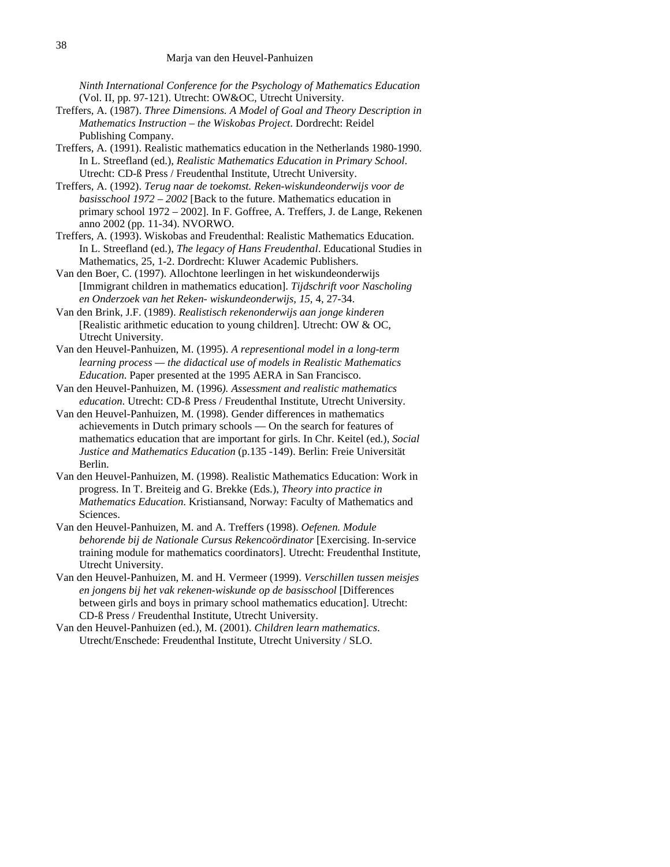*Ninth International Conference for the Psychology of Mathematics Education* (Vol. II, pp. 97-121). Utrecht: OW&OC, Utrecht University.

- Treffers, A. (1987). *Three Dimensions. A Model of Goal and Theory Description in Mathematics Instruction – the Wiskobas Project*. Dordrecht: Reidel Publishing Company.
- Treffers, A. (1991). Realistic mathematics education in the Netherlands 1980-1990. In L. Streefland (ed.), *Realistic Mathematics Education in Primary School*. Utrecht: CD-ß Press / Freudenthal Institute, Utrecht University.
- Treffers, A. (1992). *Terug naar de toekomst. Reken-wiskundeonderwijs voor de basisschool 1972 – 2002* [Back to the future. Mathematics education in primary school 1972 – 2002]. In F. Goffree, A. Treffers, J. de Lange, Rekenen anno 2002 (pp. 11-34). NVORWO.
- Treffers, A. (1993). Wiskobas and Freudenthal: Realistic Mathematics Education. In L. Streefland (ed.), *The legacy of Hans Freudenthal*. Educational Studies in Mathematics, 25, 1-2. Dordrecht: Kluwer Academic Publishers.
- Van den Boer, C. (1997). Allochtone leerlingen in het wiskundeonderwijs [Immigrant children in mathematics education]. *Tijdschrift voor Nascholing en Onderzoek van het Reken- wiskundeonderwijs, 15*, 4, 27-34.
- Van den Brink, J.F. (1989). *Realistisch rekenonderwijs aan jonge kinderen* [Realistic arithmetic education to young children]. Utrecht: OW & OC, Utrecht University.
- Van den Heuvel-Panhuizen, M. (1995). *A representional model in a long-term learning process — the didactical use of models in Realistic Mathematics Education*. Paper presented at the 1995 AERA in San Francisco.
- Van den Heuvel-Panhuizen, M. (1996*). Assessment and realistic mathematics education*. Utrecht: CD-ß Press / Freudenthal Institute, Utrecht University.
- Van den Heuvel-Panhuizen, M. (1998). Gender differences in mathematics achievements in Dutch primary schools — On the search for features of mathematics education that are important for girls. In Chr. Keitel (ed.), *Social Justice and Mathematics Education* (p.135 -149). Berlin: Freie Universität Berlin.
- Van den Heuvel-Panhuizen, M. (1998). Realistic Mathematics Education: Work in progress. In T. Breiteig and G. Brekke (Eds.), *Theory into practice in Mathematics Education*. Kristiansand, Norway: Faculty of Mathematics and Sciences.
- Van den Heuvel-Panhuizen, M. and A. Treffers (1998). *Oefenen. Module behorende bij de Nationale Cursus Rekencoördinator* [Exercising. In-service training module for mathematics coordinators]. Utrecht: Freudenthal Institute, Utrecht University.
- Van den Heuvel-Panhuizen, M. and H. Vermeer (1999). *Verschillen tussen meisjes en jongens bij het vak rekenen-wiskunde op de basisschool* [Differences between girls and boys in primary school mathematics education]. Utrecht: CD-ß Press / Freudenthal Institute, Utrecht University.
- Van den Heuvel-Panhuizen (ed.), M. (2001). *Children learn mathematics*. Utrecht/Enschede: Freudenthal Institute, Utrecht University / SLO.